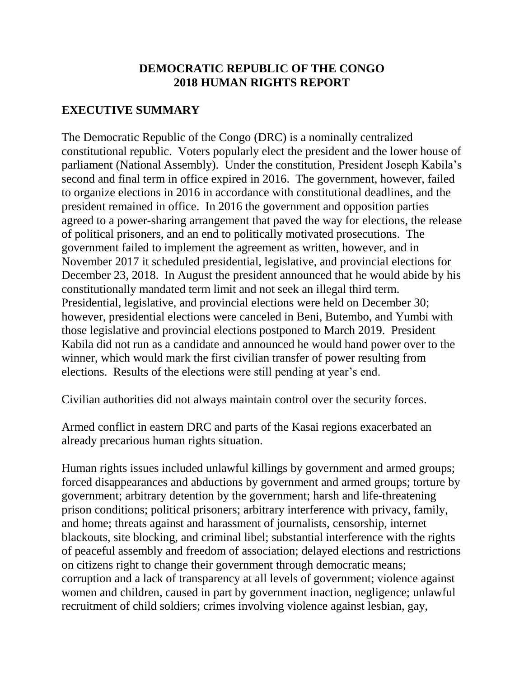#### **DEMOCRATIC REPUBLIC OF THE CONGO 2018 HUMAN RIGHTS REPORT**

# **EXECUTIVE SUMMARY**

The Democratic Republic of the Congo (DRC) is a nominally centralized constitutional republic. Voters popularly elect the president and the lower house of parliament (National Assembly). Under the constitution, President Joseph Kabila's second and final term in office expired in 2016. The government, however, failed to organize elections in 2016 in accordance with constitutional deadlines, and the president remained in office. In 2016 the government and opposition parties agreed to a power-sharing arrangement that paved the way for elections, the release of political prisoners, and an end to politically motivated prosecutions. The government failed to implement the agreement as written, however, and in November 2017 it scheduled presidential, legislative, and provincial elections for December 23, 2018. In August the president announced that he would abide by his constitutionally mandated term limit and not seek an illegal third term. Presidential, legislative, and provincial elections were held on December 30; however, presidential elections were canceled in Beni, Butembo, and Yumbi with those legislative and provincial elections postponed to March 2019. President Kabila did not run as a candidate and announced he would hand power over to the winner, which would mark the first civilian transfer of power resulting from elections. Results of the elections were still pending at year's end.

Civilian authorities did not always maintain control over the security forces.

Armed conflict in eastern DRC and parts of the Kasai regions exacerbated an already precarious human rights situation.

Human rights issues included unlawful killings by government and armed groups; forced disappearances and abductions by government and armed groups; torture by government; arbitrary detention by the government; harsh and life-threatening prison conditions; political prisoners; arbitrary interference with privacy, family, and home; threats against and harassment of journalists, censorship, internet blackouts, site blocking, and criminal libel; substantial interference with the rights of peaceful assembly and freedom of association; delayed elections and restrictions on citizens right to change their government through democratic means; corruption and a lack of transparency at all levels of government; violence against women and children, caused in part by government inaction, negligence; unlawful recruitment of child soldiers; crimes involving violence against lesbian, gay,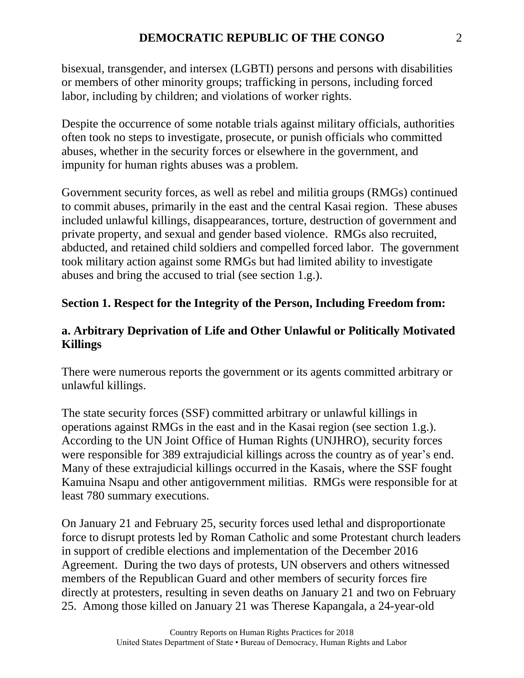bisexual, transgender, and intersex (LGBTI) persons and persons with disabilities or members of other minority groups; trafficking in persons, including forced labor, including by children; and violations of worker rights.

Despite the occurrence of some notable trials against military officials, authorities often took no steps to investigate, prosecute, or punish officials who committed abuses, whether in the security forces or elsewhere in the government, and impunity for human rights abuses was a problem.

Government security forces, as well as rebel and militia groups (RMGs) continued to commit abuses, primarily in the east and the central Kasai region. These abuses included unlawful killings, disappearances, torture, destruction of government and private property, and sexual and gender based violence. RMGs also recruited, abducted, and retained child soldiers and compelled forced labor. The government took military action against some RMGs but had limited ability to investigate abuses and bring the accused to trial (see section 1.g.).

# **Section 1. Respect for the Integrity of the Person, Including Freedom from:**

# **a. Arbitrary Deprivation of Life and Other Unlawful or Politically Motivated Killings**

There were numerous reports the government or its agents committed arbitrary or unlawful killings.

The state security forces (SSF) committed arbitrary or unlawful killings in operations against RMGs in the east and in the Kasai region (see section 1.g.). According to the UN Joint Office of Human Rights (UNJHRO), security forces were responsible for 389 extrajudicial killings across the country as of year's end. Many of these extrajudicial killings occurred in the Kasais, where the SSF fought Kamuina Nsapu and other antigovernment militias. RMGs were responsible for at least 780 summary executions.

On January 21 and February 25, security forces used lethal and disproportionate force to disrupt protests led by Roman Catholic and some Protestant church leaders in support of credible elections and implementation of the December 2016 Agreement. During the two days of protests, UN observers and others witnessed members of the Republican Guard and other members of security forces fire directly at protesters, resulting in seven deaths on January 21 and two on February 25. Among those killed on January 21 was Therese Kapangala, a 24-year-old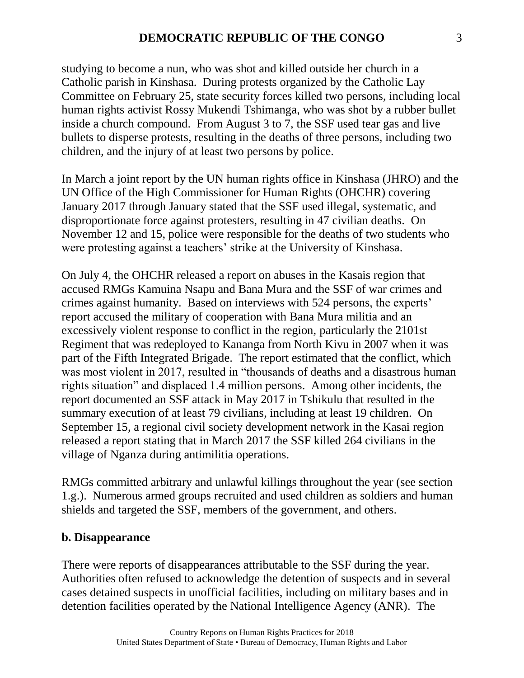studying to become a nun, who was shot and killed outside her church in a Catholic parish in Kinshasa. During protests organized by the Catholic Lay Committee on February 25, state security forces killed two persons, including local human rights activist Rossy Mukendi Tshimanga, who was shot by a rubber bullet inside a church compound. From August 3 to 7, the SSF used tear gas and live bullets to disperse protests, resulting in the deaths of three persons, including two children, and the injury of at least two persons by police.

In March a joint report by the UN human rights office in Kinshasa (JHRO) and the UN Office of the High Commissioner for Human Rights (OHCHR) covering January 2017 through January stated that the SSF used illegal, systematic, and disproportionate force against protesters, resulting in 47 civilian deaths. On November 12 and 15, police were responsible for the deaths of two students who were protesting against a teachers' strike at the University of Kinshasa.

On July 4, the OHCHR released a report on abuses in the Kasais region that accused RMGs Kamuina Nsapu and Bana Mura and the SSF of war crimes and crimes against humanity. Based on interviews with 524 persons, the experts' report accused the military of cooperation with Bana Mura militia and an excessively violent response to conflict in the region, particularly the 2101st Regiment that was redeployed to Kananga from North Kivu in 2007 when it was part of the Fifth Integrated Brigade. The report estimated that the conflict, which was most violent in 2017, resulted in "thousands of deaths and a disastrous human rights situation" and displaced 1.4 million persons. Among other incidents, the report documented an SSF attack in May 2017 in Tshikulu that resulted in the summary execution of at least 79 civilians, including at least 19 children. On September 15, a regional civil society development network in the Kasai region released a report stating that in March 2017 the SSF killed 264 civilians in the village of Nganza during antimilitia operations.

RMGs committed arbitrary and unlawful killings throughout the year (see section 1.g.). Numerous armed groups recruited and used children as soldiers and human shields and targeted the SSF, members of the government, and others.

#### **b. Disappearance**

There were reports of disappearances attributable to the SSF during the year. Authorities often refused to acknowledge the detention of suspects and in several cases detained suspects in unofficial facilities, including on military bases and in detention facilities operated by the National Intelligence Agency (ANR). The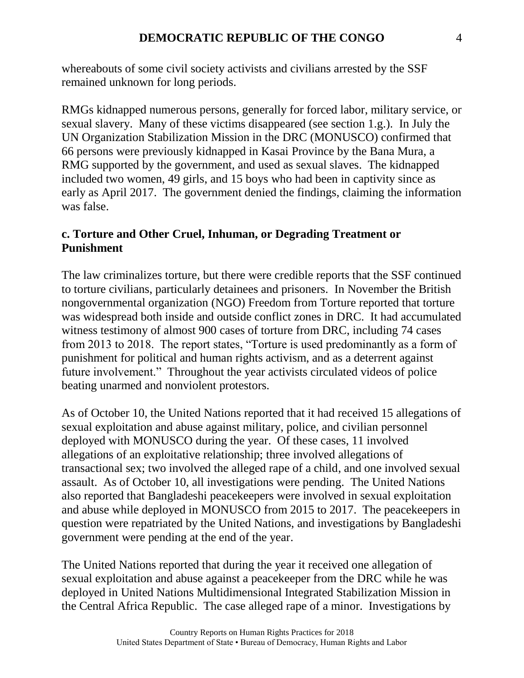whereabouts of some civil society activists and civilians arrested by the SSF remained unknown for long periods.

RMGs kidnapped numerous persons, generally for forced labor, military service, or sexual slavery. Many of these victims disappeared (see section 1.g.). In July the UN Organization Stabilization Mission in the DRC (MONUSCO) confirmed that 66 persons were previously kidnapped in Kasai Province by the Bana Mura, a RMG supported by the government, and used as sexual slaves. The kidnapped included two women, 49 girls, and 15 boys who had been in captivity since as early as April 2017. The government denied the findings, claiming the information was false.

#### **c. Torture and Other Cruel, Inhuman, or Degrading Treatment or Punishment**

The law criminalizes torture, but there were credible reports that the SSF continued to torture civilians, particularly detainees and prisoners. In November the British nongovernmental organization (NGO) Freedom from Torture reported that torture was widespread both inside and outside conflict zones in DRC. It had accumulated witness testimony of almost 900 cases of torture from DRC, including 74 cases from 2013 to 2018. The report states, "Torture is used predominantly as a form of punishment for political and human rights activism, and as a deterrent against future involvement." Throughout the year activists circulated videos of police beating unarmed and nonviolent protestors.

As of October 10, the United Nations reported that it had received 15 allegations of sexual exploitation and abuse against military, police, and civilian personnel deployed with MONUSCO during the year. Of these cases, 11 involved allegations of an exploitative relationship; three involved allegations of transactional sex; two involved the alleged rape of a child, and one involved sexual assault. As of October 10, all investigations were pending. The United Nations also reported that Bangladeshi peacekeepers were involved in sexual exploitation and abuse while deployed in MONUSCO from 2015 to 2017. The peacekeepers in question were repatriated by the United Nations, and investigations by Bangladeshi government were pending at the end of the year.

The United Nations reported that during the year it received one allegation of sexual exploitation and abuse against a peacekeeper from the DRC while he was deployed in United Nations Multidimensional Integrated Stabilization Mission in the Central Africa Republic. The case alleged rape of a minor. Investigations by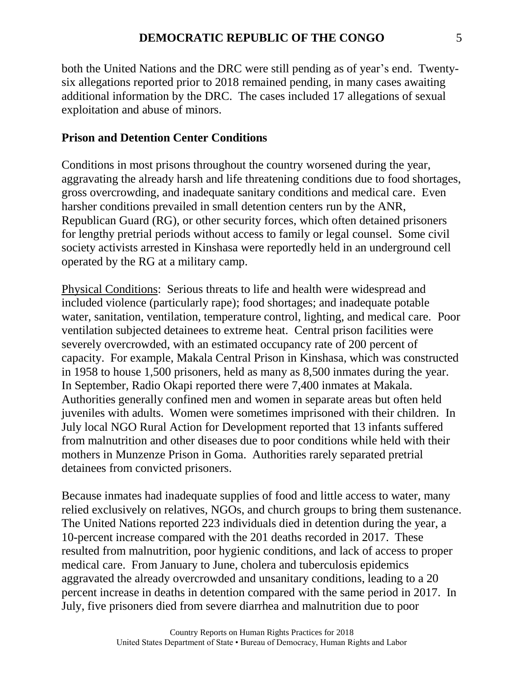both the United Nations and the DRC were still pending as of year's end. Twentysix allegations reported prior to 2018 remained pending, in many cases awaiting additional information by the DRC. The cases included 17 allegations of sexual exploitation and abuse of minors.

#### **Prison and Detention Center Conditions**

Conditions in most prisons throughout the country worsened during the year, aggravating the already harsh and life threatening conditions due to food shortages, gross overcrowding, and inadequate sanitary conditions and medical care. Even harsher conditions prevailed in small detention centers run by the ANR, Republican Guard (RG), or other security forces, which often detained prisoners for lengthy pretrial periods without access to family or legal counsel. Some civil society activists arrested in Kinshasa were reportedly held in an underground cell operated by the RG at a military camp.

Physical Conditions: Serious threats to life and health were widespread and included violence (particularly rape); food shortages; and inadequate potable water, sanitation, ventilation, temperature control, lighting, and medical care. Poor ventilation subjected detainees to extreme heat. Central prison facilities were severely overcrowded, with an estimated occupancy rate of 200 percent of capacity. For example, Makala Central Prison in Kinshasa, which was constructed in 1958 to house 1,500 prisoners, held as many as 8,500 inmates during the year. In September, Radio Okapi reported there were 7,400 inmates at Makala. Authorities generally confined men and women in separate areas but often held juveniles with adults. Women were sometimes imprisoned with their children. In July local NGO Rural Action for Development reported that 13 infants suffered from malnutrition and other diseases due to poor conditions while held with their mothers in Munzenze Prison in Goma. Authorities rarely separated pretrial detainees from convicted prisoners.

Because inmates had inadequate supplies of food and little access to water, many relied exclusively on relatives, NGOs, and church groups to bring them sustenance. The United Nations reported 223 individuals died in detention during the year, a 10-percent increase compared with the 201 deaths recorded in 2017. These resulted from malnutrition, poor hygienic conditions, and lack of access to proper medical care. From January to June, cholera and tuberculosis epidemics aggravated the already overcrowded and unsanitary conditions, leading to a 20 percent increase in deaths in detention compared with the same period in 2017. In July, five prisoners died from severe diarrhea and malnutrition due to poor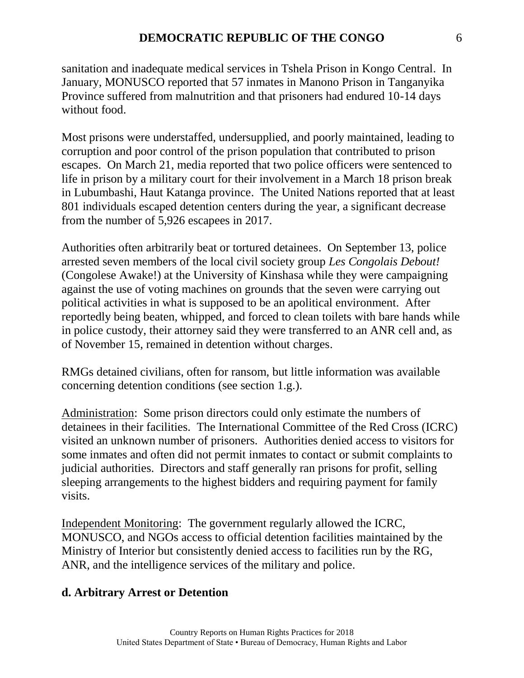sanitation and inadequate medical services in Tshela Prison in Kongo Central. In January, MONUSCO reported that 57 inmates in Manono Prison in Tanganyika Province suffered from malnutrition and that prisoners had endured 10-14 days without food.

Most prisons were understaffed, undersupplied, and poorly maintained, leading to corruption and poor control of the prison population that contributed to prison escapes. On March 21, media reported that two police officers were sentenced to life in prison by a military court for their involvement in a March 18 prison break in Lubumbashi, Haut Katanga province. The United Nations reported that at least 801 individuals escaped detention centers during the year, a significant decrease from the number of 5,926 escapees in 2017.

Authorities often arbitrarily beat or tortured detainees. On September 13, police arrested seven members of the local civil society group *Les Congolais Debout!* (Congolese Awake!) at the University of Kinshasa while they were campaigning against the use of voting machines on grounds that the seven were carrying out political activities in what is supposed to be an apolitical environment. After reportedly being beaten, whipped, and forced to clean toilets with bare hands while in police custody, their attorney said they were transferred to an ANR cell and, as of November 15, remained in detention without charges.

RMGs detained civilians, often for ransom, but little information was available concerning detention conditions (see section 1.g.).

Administration: Some prison directors could only estimate the numbers of detainees in their facilities. The International Committee of the Red Cross (ICRC) visited an unknown number of prisoners. Authorities denied access to visitors for some inmates and often did not permit inmates to contact or submit complaints to judicial authorities. Directors and staff generally ran prisons for profit, selling sleeping arrangements to the highest bidders and requiring payment for family visits.

Independent Monitoring: The government regularly allowed the ICRC, MONUSCO, and NGOs access to official detention facilities maintained by the Ministry of Interior but consistently denied access to facilities run by the RG, ANR, and the intelligence services of the military and police.

# **d. Arbitrary Arrest or Detention**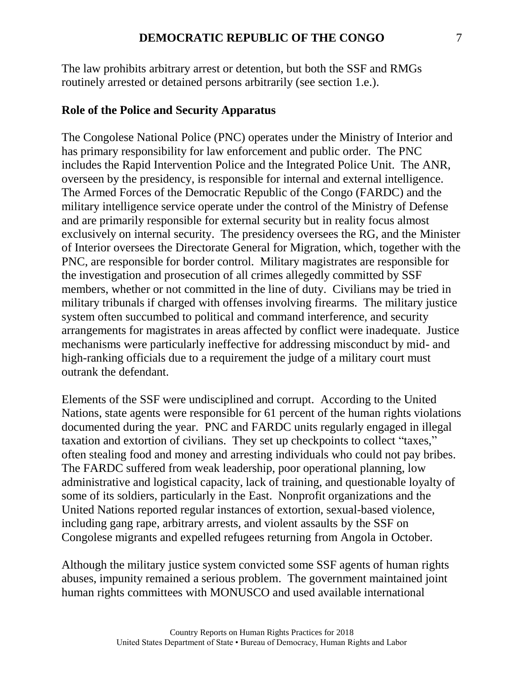The law prohibits arbitrary arrest or detention, but both the SSF and RMGs routinely arrested or detained persons arbitrarily (see section 1.e.).

#### **Role of the Police and Security Apparatus**

The Congolese National Police (PNC) operates under the Ministry of Interior and has primary responsibility for law enforcement and public order. The PNC includes the Rapid Intervention Police and the Integrated Police Unit. The ANR, overseen by the presidency, is responsible for internal and external intelligence. The Armed Forces of the Democratic Republic of the Congo (FARDC) and the military intelligence service operate under the control of the Ministry of Defense and are primarily responsible for external security but in reality focus almost exclusively on internal security. The presidency oversees the RG, and the Minister of Interior oversees the Directorate General for Migration, which, together with the PNC, are responsible for border control. Military magistrates are responsible for the investigation and prosecution of all crimes allegedly committed by SSF members, whether or not committed in the line of duty. Civilians may be tried in military tribunals if charged with offenses involving firearms. The military justice system often succumbed to political and command interference, and security arrangements for magistrates in areas affected by conflict were inadequate. Justice mechanisms were particularly ineffective for addressing misconduct by mid- and high-ranking officials due to a requirement the judge of a military court must outrank the defendant.

Elements of the SSF were undisciplined and corrupt. According to the United Nations, state agents were responsible for 61 percent of the human rights violations documented during the year. PNC and FARDC units regularly engaged in illegal taxation and extortion of civilians. They set up checkpoints to collect "taxes," often stealing food and money and arresting individuals who could not pay bribes. The FARDC suffered from weak leadership, poor operational planning, low administrative and logistical capacity, lack of training, and questionable loyalty of some of its soldiers, particularly in the East. Nonprofit organizations and the United Nations reported regular instances of extortion, sexual-based violence, including gang rape, arbitrary arrests, and violent assaults by the SSF on Congolese migrants and expelled refugees returning from Angola in October.

Although the military justice system convicted some SSF agents of human rights abuses, impunity remained a serious problem. The government maintained joint human rights committees with MONUSCO and used available international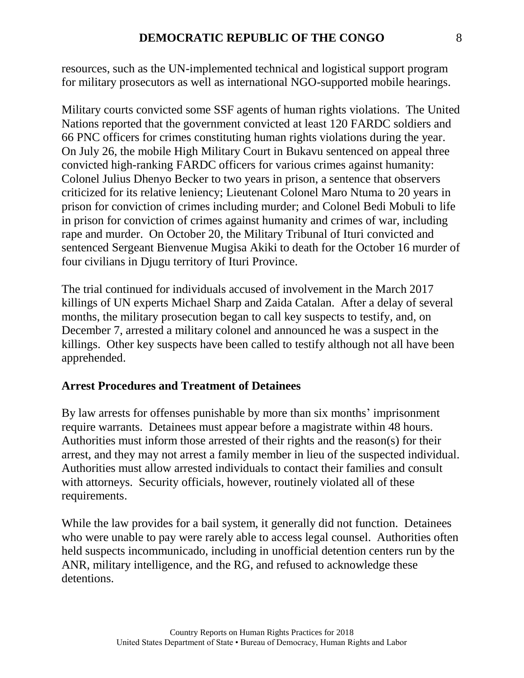resources, such as the UN-implemented technical and logistical support program for military prosecutors as well as international NGO-supported mobile hearings.

Military courts convicted some SSF agents of human rights violations. The United Nations reported that the government convicted at least 120 FARDC soldiers and 66 PNC officers for crimes constituting human rights violations during the year. On July 26, the mobile High Military Court in Bukavu sentenced on appeal three convicted high-ranking FARDC officers for various crimes against humanity: Colonel Julius Dhenyo Becker to two years in prison, a sentence that observers criticized for its relative leniency; Lieutenant Colonel Maro Ntuma to 20 years in prison for conviction of crimes including murder; and Colonel Bedi Mobuli to life in prison for conviction of crimes against humanity and crimes of war, including rape and murder. On October 20, the Military Tribunal of Ituri convicted and sentenced Sergeant Bienvenue Mugisa Akiki to death for the October 16 murder of four civilians in Djugu territory of Ituri Province.

The trial continued for individuals accused of involvement in the March 2017 killings of UN experts Michael Sharp and Zaida Catalan. After a delay of several months, the military prosecution began to call key suspects to testify, and, on December 7, arrested a military colonel and announced he was a suspect in the killings. Other key suspects have been called to testify although not all have been apprehended.

#### **Arrest Procedures and Treatment of Detainees**

By law arrests for offenses punishable by more than six months' imprisonment require warrants. Detainees must appear before a magistrate within 48 hours. Authorities must inform those arrested of their rights and the reason(s) for their arrest, and they may not arrest a family member in lieu of the suspected individual. Authorities must allow arrested individuals to contact their families and consult with attorneys. Security officials, however, routinely violated all of these requirements.

While the law provides for a bail system, it generally did not function. Detainees who were unable to pay were rarely able to access legal counsel. Authorities often held suspects incommunicado, including in unofficial detention centers run by the ANR, military intelligence, and the RG, and refused to acknowledge these detentions.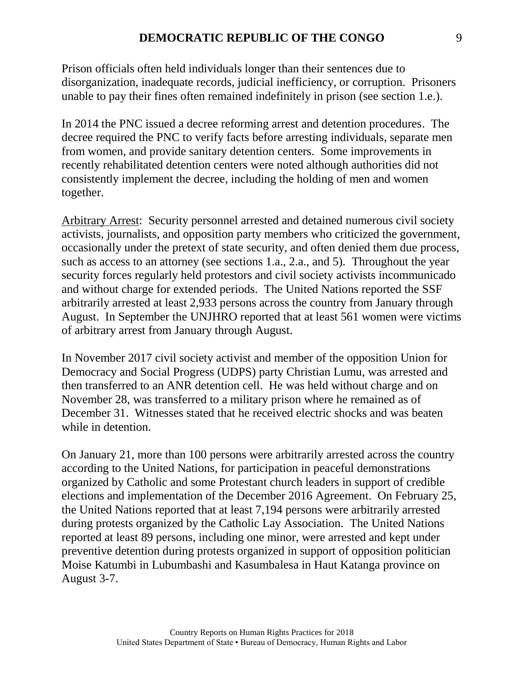Prison officials often held individuals longer than their sentences due to disorganization, inadequate records, judicial inefficiency, or corruption. Prisoners unable to pay their fines often remained indefinitely in prison (see section 1.e.).

In 2014 the PNC issued a decree reforming arrest and detention procedures. The decree required the PNC to verify facts before arresting individuals, separate men from women, and provide sanitary detention centers. Some improvements in recently rehabilitated detention centers were noted although authorities did not consistently implement the decree, including the holding of men and women together.

Arbitrary Arrest: Security personnel arrested and detained numerous civil society activists, journalists, and opposition party members who criticized the government, occasionally under the pretext of state security, and often denied them due process, such as access to an attorney (see sections 1.a., 2.a., and 5). Throughout the year security forces regularly held protestors and civil society activists incommunicado and without charge for extended periods. The United Nations reported the SSF arbitrarily arrested at least 2,933 persons across the country from January through August. In September the UNJHRO reported that at least 561 women were victims of arbitrary arrest from January through August.

In November 2017 civil society activist and member of the opposition Union for Democracy and Social Progress (UDPS) party Christian Lumu, was arrested and then transferred to an ANR detention cell. He was held without charge and on November 28, was transferred to a military prison where he remained as of December 31. Witnesses stated that he received electric shocks and was beaten while in detention.

On January 21, more than 100 persons were arbitrarily arrested across the country according to the United Nations, for participation in peaceful demonstrations organized by Catholic and some Protestant church leaders in support of credible elections and implementation of the December 2016 Agreement. On February 25, the United Nations reported that at least 7,194 persons were arbitrarily arrested during protests organized by the Catholic Lay Association. The United Nations reported at least 89 persons, including one minor, were arrested and kept under preventive detention during protests organized in support of opposition politician Moise Katumbi in Lubumbashi and Kasumbalesa in Haut Katanga province on August 3-7.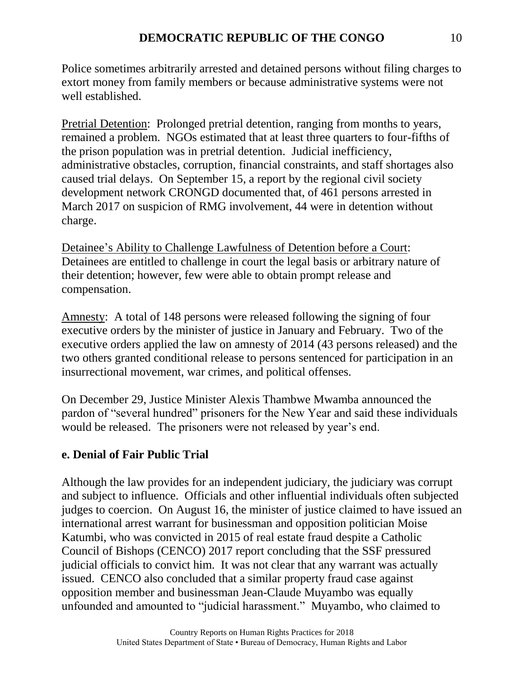Police sometimes arbitrarily arrested and detained persons without filing charges to extort money from family members or because administrative systems were not well established.

Pretrial Detention: Prolonged pretrial detention, ranging from months to years, remained a problem. NGOs estimated that at least three quarters to four-fifths of the prison population was in pretrial detention. Judicial inefficiency, administrative obstacles, corruption, financial constraints, and staff shortages also caused trial delays. On September 15, a report by the regional civil society development network CRONGD documented that, of 461 persons arrested in March 2017 on suspicion of RMG involvement, 44 were in detention without charge.

Detainee's Ability to Challenge Lawfulness of Detention before a Court: Detainees are entitled to challenge in court the legal basis or arbitrary nature of their detention; however, few were able to obtain prompt release and compensation.

Amnesty: A total of 148 persons were released following the signing of four executive orders by the minister of justice in January and February. Two of the executive orders applied the law on amnesty of 2014 (43 persons released) and the two others granted conditional release to persons sentenced for participation in an insurrectional movement, war crimes, and political offenses.

On December 29, Justice Minister Alexis Thambwe Mwamba announced the pardon of "several hundred" prisoners for the New Year and said these individuals would be released. The prisoners were not released by year's end.

# **e. Denial of Fair Public Trial**

Although the law provides for an independent judiciary, the judiciary was corrupt and subject to influence. Officials and other influential individuals often subjected judges to coercion. On August 16, the minister of justice claimed to have issued an international arrest warrant for businessman and opposition politician Moise Katumbi, who was convicted in 2015 of real estate fraud despite a Catholic Council of Bishops (CENCO) 2017 report concluding that the SSF pressured judicial officials to convict him. It was not clear that any warrant was actually issued. CENCO also concluded that a similar property fraud case against opposition member and businessman Jean-Claude Muyambo was equally unfounded and amounted to "judicial harassment." Muyambo, who claimed to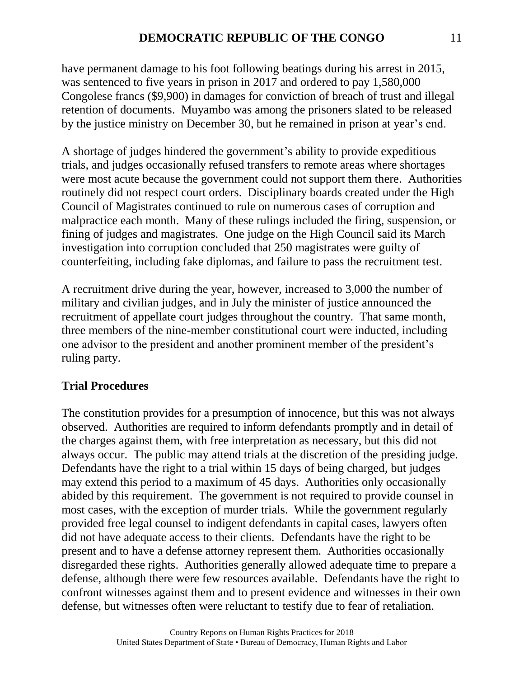have permanent damage to his foot following beatings during his arrest in 2015, was sentenced to five years in prison in 2017 and ordered to pay 1,580,000 Congolese francs (\$9,900) in damages for conviction of breach of trust and illegal retention of documents. Muyambo was among the prisoners slated to be released by the justice ministry on December 30, but he remained in prison at year's end.

A shortage of judges hindered the government's ability to provide expeditious trials, and judges occasionally refused transfers to remote areas where shortages were most acute because the government could not support them there. Authorities routinely did not respect court orders. Disciplinary boards created under the High Council of Magistrates continued to rule on numerous cases of corruption and malpractice each month. Many of these rulings included the firing, suspension, or fining of judges and magistrates. One judge on the High Council said its March investigation into corruption concluded that 250 magistrates were guilty of counterfeiting, including fake diplomas, and failure to pass the recruitment test.

A recruitment drive during the year, however, increased to 3,000 the number of military and civilian judges, and in July the minister of justice announced the recruitment of appellate court judges throughout the country. That same month, three members of the nine-member constitutional court were inducted, including one advisor to the president and another prominent member of the president's ruling party.

# **Trial Procedures**

The constitution provides for a presumption of innocence, but this was not always observed. Authorities are required to inform defendants promptly and in detail of the charges against them, with free interpretation as necessary, but this did not always occur. The public may attend trials at the discretion of the presiding judge. Defendants have the right to a trial within 15 days of being charged, but judges may extend this period to a maximum of 45 days. Authorities only occasionally abided by this requirement. The government is not required to provide counsel in most cases, with the exception of murder trials. While the government regularly provided free legal counsel to indigent defendants in capital cases, lawyers often did not have adequate access to their clients. Defendants have the right to be present and to have a defense attorney represent them. Authorities occasionally disregarded these rights. Authorities generally allowed adequate time to prepare a defense, although there were few resources available. Defendants have the right to confront witnesses against them and to present evidence and witnesses in their own defense, but witnesses often were reluctant to testify due to fear of retaliation.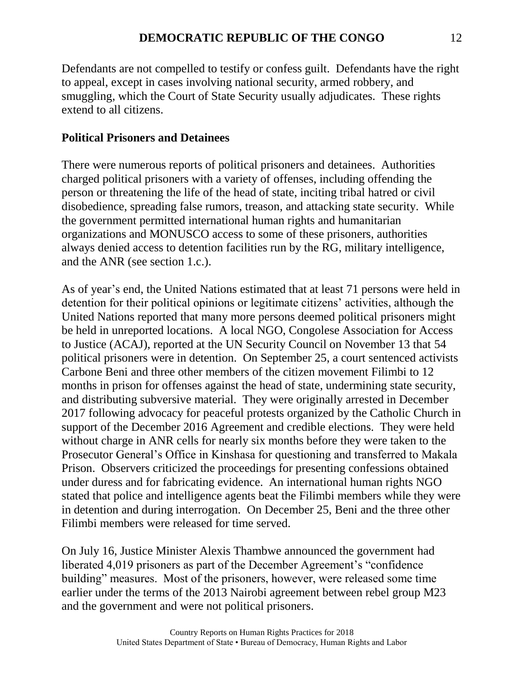Defendants are not compelled to testify or confess guilt. Defendants have the right to appeal, except in cases involving national security, armed robbery, and smuggling, which the Court of State Security usually adjudicates. These rights extend to all citizens.

# **Political Prisoners and Detainees**

There were numerous reports of political prisoners and detainees. Authorities charged political prisoners with a variety of offenses, including offending the person or threatening the life of the head of state, inciting tribal hatred or civil disobedience, spreading false rumors, treason, and attacking state security. While the government permitted international human rights and humanitarian organizations and MONUSCO access to some of these prisoners, authorities always denied access to detention facilities run by the RG, military intelligence, and the ANR (see section 1.c.).

As of year's end, the United Nations estimated that at least 71 persons were held in detention for their political opinions or legitimate citizens' activities, although the United Nations reported that many more persons deemed political prisoners might be held in unreported locations. A local NGO, Congolese Association for Access to Justice (ACAJ), reported at the UN Security Council on November 13 that 54 political prisoners were in detention. On September 25, a court sentenced activists Carbone Beni and three other members of the citizen movement Filimbi to 12 months in prison for offenses against the head of state, undermining state security, and distributing subversive material. They were originally arrested in December 2017 following advocacy for peaceful protests organized by the Catholic Church in support of the December 2016 Agreement and credible elections. They were held without charge in ANR cells for nearly six months before they were taken to the Prosecutor General's Office in Kinshasa for questioning and transferred to Makala Prison. Observers criticized the proceedings for presenting confessions obtained under duress and for fabricating evidence. An international human rights NGO stated that police and intelligence agents beat the Filimbi members while they were in detention and during interrogation. On December 25, Beni and the three other Filimbi members were released for time served.

On July 16, Justice Minister Alexis Thambwe announced the government had liberated 4,019 prisoners as part of the December Agreement's "confidence building" measures. Most of the prisoners, however, were released some time earlier under the terms of the 2013 Nairobi agreement between rebel group M23 and the government and were not political prisoners.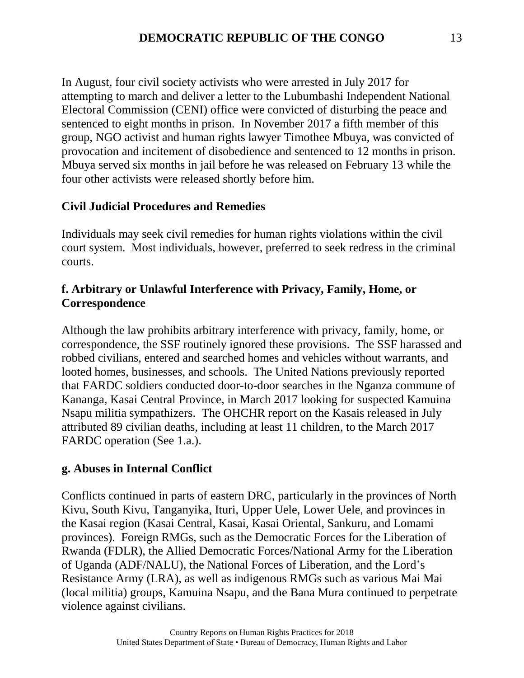In August, four civil society activists who were arrested in July 2017 for attempting to march and deliver a letter to the Lubumbashi Independent National Electoral Commission (CENI) office were convicted of disturbing the peace and sentenced to eight months in prison. In November 2017 a fifth member of this group, NGO activist and human rights lawyer Timothee Mbuya, was convicted of provocation and incitement of disobedience and sentenced to 12 months in prison. Mbuya served six months in jail before he was released on February 13 while the four other activists were released shortly before him.

# **Civil Judicial Procedures and Remedies**

Individuals may seek civil remedies for human rights violations within the civil court system. Most individuals, however, preferred to seek redress in the criminal courts.

#### **f. Arbitrary or Unlawful Interference with Privacy, Family, Home, or Correspondence**

Although the law prohibits arbitrary interference with privacy, family, home, or correspondence, the SSF routinely ignored these provisions. The SSF harassed and robbed civilians, entered and searched homes and vehicles without warrants, and looted homes, businesses, and schools. The United Nations previously reported that FARDC soldiers conducted door-to-door searches in the Nganza commune of Kananga, Kasai Central Province, in March 2017 looking for suspected Kamuina Nsapu militia sympathizers. The OHCHR report on the Kasais released in July attributed 89 civilian deaths, including at least 11 children, to the March 2017 FARDC operation (See 1.a.).

# **g. Abuses in Internal Conflict**

Conflicts continued in parts of eastern DRC, particularly in the provinces of North Kivu, South Kivu, Tanganyika, Ituri, Upper Uele, Lower Uele, and provinces in the Kasai region (Kasai Central, Kasai, Kasai Oriental, Sankuru, and Lomami provinces). Foreign RMGs, such as the Democratic Forces for the Liberation of Rwanda (FDLR), the Allied Democratic Forces/National Army for the Liberation of Uganda (ADF/NALU), the National Forces of Liberation, and the Lord's Resistance Army (LRA), as well as indigenous RMGs such as various Mai Mai (local militia) groups, Kamuina Nsapu, and the Bana Mura continued to perpetrate violence against civilians.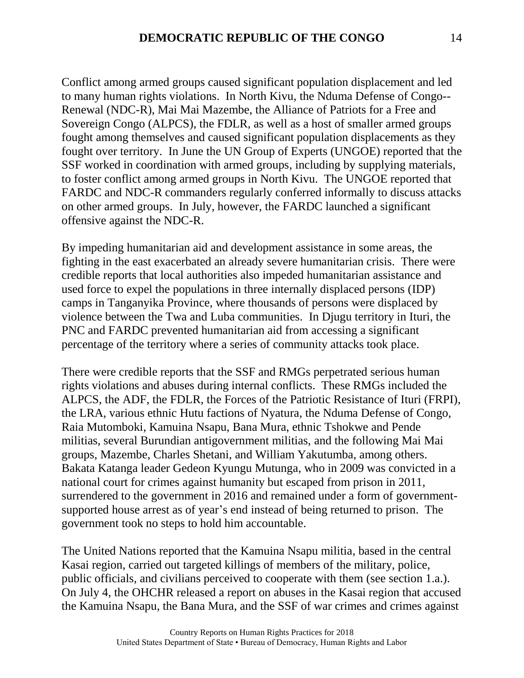Conflict among armed groups caused significant population displacement and led to many human rights violations. In North Kivu, the Nduma Defense of Congo-- Renewal (NDC-R), Mai Mai Mazembe, the Alliance of Patriots for a Free and Sovereign Congo (ALPCS), the FDLR, as well as a host of smaller armed groups fought among themselves and caused significant population displacements as they fought over territory. In June the UN Group of Experts (UNGOE) reported that the SSF worked in coordination with armed groups, including by supplying materials, to foster conflict among armed groups in North Kivu. The UNGOE reported that FARDC and NDC-R commanders regularly conferred informally to discuss attacks on other armed groups. In July, however, the FARDC launched a significant offensive against the NDC-R.

By impeding humanitarian aid and development assistance in some areas, the fighting in the east exacerbated an already severe humanitarian crisis. There were credible reports that local authorities also impeded humanitarian assistance and used force to expel the populations in three internally displaced persons (IDP) camps in Tanganyika Province, where thousands of persons were displaced by violence between the Twa and Luba communities. In Djugu territory in Ituri, the PNC and FARDC prevented humanitarian aid from accessing a significant percentage of the territory where a series of community attacks took place.

There were credible reports that the SSF and RMGs perpetrated serious human rights violations and abuses during internal conflicts. These RMGs included the ALPCS, the ADF, the FDLR, the Forces of the Patriotic Resistance of Ituri (FRPI), the LRA, various ethnic Hutu factions of Nyatura, the Nduma Defense of Congo, Raia Mutomboki, Kamuina Nsapu, Bana Mura, ethnic Tshokwe and Pende militias, several Burundian antigovernment militias, and the following Mai Mai groups, Mazembe, Charles Shetani, and William Yakutumba, among others. Bakata Katanga leader Gedeon Kyungu Mutunga, who in 2009 was convicted in a national court for crimes against humanity but escaped from prison in 2011, surrendered to the government in 2016 and remained under a form of governmentsupported house arrest as of year's end instead of being returned to prison. The government took no steps to hold him accountable.

The United Nations reported that the Kamuina Nsapu militia, based in the central Kasai region, carried out targeted killings of members of the military, police, public officials, and civilians perceived to cooperate with them (see section 1.a.). On July 4, the OHCHR released a report on abuses in the Kasai region that accused the Kamuina Nsapu, the Bana Mura, and the SSF of war crimes and crimes against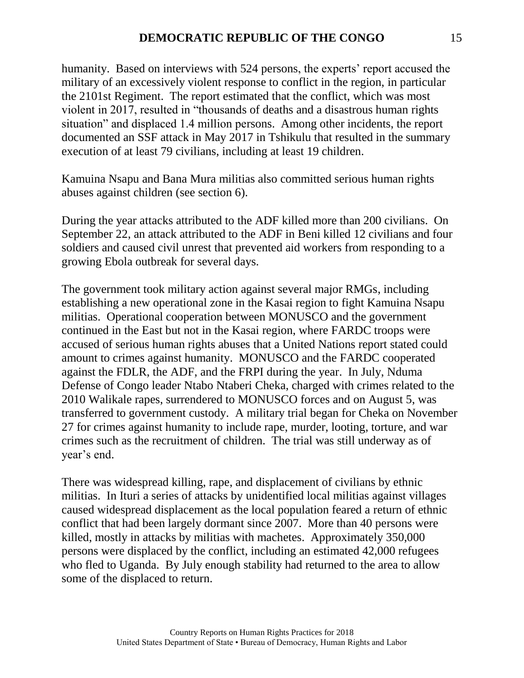humanity. Based on interviews with 524 persons, the experts' report accused the military of an excessively violent response to conflict in the region, in particular the 2101st Regiment. The report estimated that the conflict, which was most violent in 2017, resulted in "thousands of deaths and a disastrous human rights situation" and displaced 1.4 million persons. Among other incidents, the report documented an SSF attack in May 2017 in Tshikulu that resulted in the summary execution of at least 79 civilians, including at least 19 children.

Kamuina Nsapu and Bana Mura militias also committed serious human rights abuses against children (see section 6).

During the year attacks attributed to the ADF killed more than 200 civilians. On September 22, an attack attributed to the ADF in Beni killed 12 civilians and four soldiers and caused civil unrest that prevented aid workers from responding to a growing Ebola outbreak for several days.

The government took military action against several major RMGs, including establishing a new operational zone in the Kasai region to fight Kamuina Nsapu militias. Operational cooperation between MONUSCO and the government continued in the East but not in the Kasai region, where FARDC troops were accused of serious human rights abuses that a United Nations report stated could amount to crimes against humanity. MONUSCO and the FARDC cooperated against the FDLR, the ADF, and the FRPI during the year. In July, Nduma Defense of Congo leader Ntabo Ntaberi Cheka, charged with crimes related to the 2010 Walikale rapes, surrendered to MONUSCO forces and on August 5, was transferred to government custody. A military trial began for Cheka on November 27 for crimes against humanity to include rape, murder, looting, torture, and war crimes such as the recruitment of children. The trial was still underway as of year's end.

There was widespread killing, rape, and displacement of civilians by ethnic militias. In Ituri a series of attacks by unidentified local militias against villages caused widespread displacement as the local population feared a return of ethnic conflict that had been largely dormant since 2007. More than 40 persons were killed, mostly in attacks by militias with machetes. Approximately 350,000 persons were displaced by the conflict, including an estimated 42,000 refugees who fled to Uganda. By July enough stability had returned to the area to allow some of the displaced to return.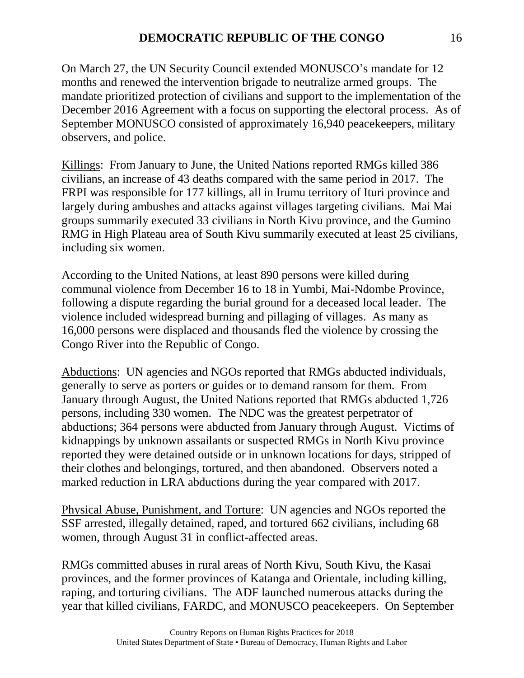On March 27, the UN Security Council extended MONUSCO's mandate for 12 months and renewed the intervention brigade to neutralize armed groups. The mandate prioritized protection of civilians and support to the implementation of the December 2016 Agreement with a focus on supporting the electoral process. As of September MONUSCO consisted of approximately 16,940 peacekeepers, military observers, and police.

Killings: From January to June, the United Nations reported RMGs killed 386 civilians, an increase of 43 deaths compared with the same period in 2017. The FRPI was responsible for 177 killings, all in Irumu territory of Ituri province and largely during ambushes and attacks against villages targeting civilians. Mai Mai groups summarily executed 33 civilians in North Kivu province, and the Gumino RMG in High Plateau area of South Kivu summarily executed at least 25 civilians, including six women.

According to the United Nations, at least 890 persons were killed during communal violence from December 16 to 18 in Yumbi, Mai-Ndombe Province, following a dispute regarding the burial ground for a deceased local leader. The violence included widespread burning and pillaging of villages. As many as 16,000 persons were displaced and thousands fled the violence by crossing the Congo River into the Republic of Congo.

Abductions: UN agencies and NGOs reported that RMGs abducted individuals, generally to serve as porters or guides or to demand ransom for them. From January through August, the United Nations reported that RMGs abducted 1,726 persons, including 330 women. The NDC was the greatest perpetrator of abductions; 364 persons were abducted from January through August. Victims of kidnappings by unknown assailants or suspected RMGs in North Kivu province reported they were detained outside or in unknown locations for days, stripped of their clothes and belongings, tortured, and then abandoned. Observers noted a marked reduction in LRA abductions during the year compared with 2017.

Physical Abuse, Punishment, and Torture: UN agencies and NGOs reported the SSF arrested, illegally detained, raped, and tortured 662 civilians, including 68 women, through August 31 in conflict-affected areas.

RMGs committed abuses in rural areas of North Kivu, South Kivu, the Kasai provinces, and the former provinces of Katanga and Orientale, including killing, raping, and torturing civilians. The ADF launched numerous attacks during the year that killed civilians, FARDC, and MONUSCO peacekeepers. On September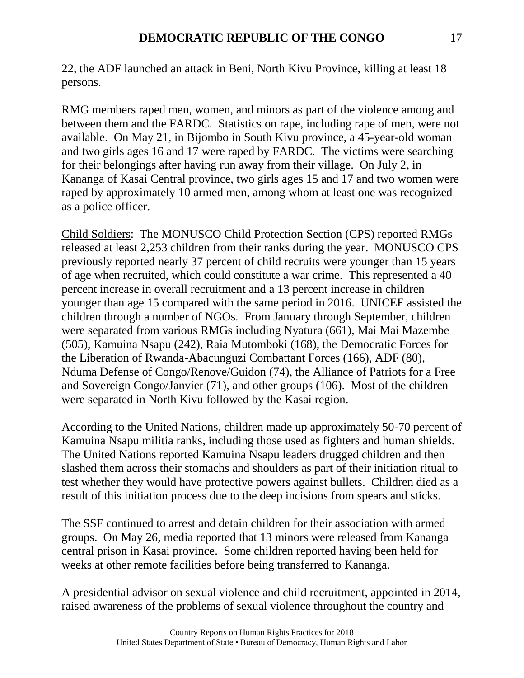22, the ADF launched an attack in Beni, North Kivu Province, killing at least 18 persons.

RMG members raped men, women, and minors as part of the violence among and between them and the FARDC. Statistics on rape, including rape of men, were not available. On May 21, in Bijombo in South Kivu province, a 45-year-old woman and two girls ages 16 and 17 were raped by FARDC. The victims were searching for their belongings after having run away from their village. On July 2, in Kananga of Kasai Central province, two girls ages 15 and 17 and two women were raped by approximately 10 armed men, among whom at least one was recognized as a police officer.

Child Soldiers: The MONUSCO Child Protection Section (CPS) reported RMGs released at least 2,253 children from their ranks during the year. MONUSCO CPS previously reported nearly 37 percent of child recruits were younger than 15 years of age when recruited, which could constitute a war crime. This represented a 40 percent increase in overall recruitment and a 13 percent increase in children younger than age 15 compared with the same period in 2016. UNICEF assisted the children through a number of NGOs. From January through September, children were separated from various RMGs including Nyatura (661), Mai Mai Mazembe (505), Kamuina Nsapu (242), Raia Mutomboki (168), the Democratic Forces for the Liberation of Rwanda-Abacunguzi Combattant Forces (166), ADF (80), Nduma Defense of Congo/Renove/Guidon (74), the Alliance of Patriots for a Free and Sovereign Congo/Janvier (71), and other groups (106). Most of the children were separated in North Kivu followed by the Kasai region.

According to the United Nations, children made up approximately 50-70 percent of Kamuina Nsapu militia ranks, including those used as fighters and human shields. The United Nations reported Kamuina Nsapu leaders drugged children and then slashed them across their stomachs and shoulders as part of their initiation ritual to test whether they would have protective powers against bullets. Children died as a result of this initiation process due to the deep incisions from spears and sticks.

The SSF continued to arrest and detain children for their association with armed groups. On May 26, media reported that 13 minors were released from Kananga central prison in Kasai province. Some children reported having been held for weeks at other remote facilities before being transferred to Kananga.

A presidential advisor on sexual violence and child recruitment, appointed in 2014, raised awareness of the problems of sexual violence throughout the country and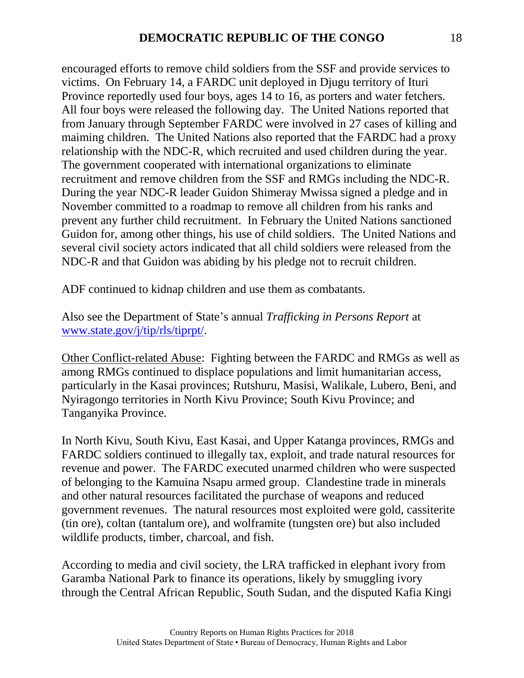encouraged efforts to remove child soldiers from the SSF and provide services to victims. On February 14, a FARDC unit deployed in Djugu territory of Ituri Province reportedly used four boys, ages 14 to 16, as porters and water fetchers. All four boys were released the following day. The United Nations reported that from January through September FARDC were involved in 27 cases of killing and maiming children. The United Nations also reported that the FARDC had a proxy relationship with the NDC-R, which recruited and used children during the year. The government cooperated with international organizations to eliminate recruitment and remove children from the SSF and RMGs including the NDC-R. During the year NDC-R leader Guidon Shimeray Mwissa signed a pledge and in November committed to a roadmap to remove all children from his ranks and prevent any further child recruitment. In February the United Nations sanctioned Guidon for, among other things, his use of child soldiers. The United Nations and several civil society actors indicated that all child soldiers were released from the NDC-R and that Guidon was abiding by his pledge not to recruit children.

ADF continued to kidnap children and use them as combatants.

Also see the Department of State's annual *Trafficking in Persons Report* at [www.state.gov/j/tip/rls/tiprpt/.](http://www.state.gov/j/tip/rls/tiprpt/)

Other Conflict-related Abuse: Fighting between the FARDC and RMGs as well as among RMGs continued to displace populations and limit humanitarian access, particularly in the Kasai provinces; Rutshuru, Masisi, Walikale, Lubero, Beni, and Nyiragongo territories in North Kivu Province; South Kivu Province; and Tanganyika Province.

In North Kivu, South Kivu, East Kasai, and Upper Katanga provinces, RMGs and FARDC soldiers continued to illegally tax, exploit, and trade natural resources for revenue and power. The FARDC executed unarmed children who were suspected of belonging to the Kamuina Nsapu armed group. Clandestine trade in minerals and other natural resources facilitated the purchase of weapons and reduced government revenues. The natural resources most exploited were gold, cassiterite (tin ore), coltan (tantalum ore), and wolframite (tungsten ore) but also included wildlife products, timber, charcoal, and fish.

According to media and civil society, the LRA trafficked in elephant ivory from Garamba National Park to finance its operations, likely by smuggling ivory through the Central African Republic, South Sudan, and the disputed Kafia Kingi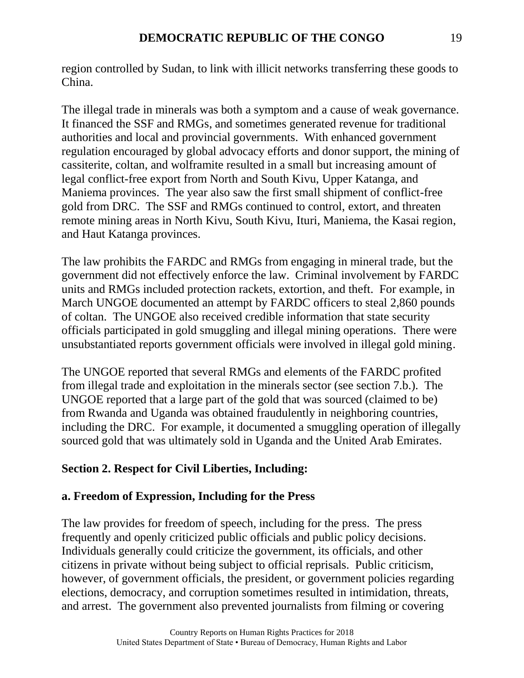region controlled by Sudan, to link with illicit networks transferring these goods to China.

The illegal trade in minerals was both a symptom and a cause of weak governance. It financed the SSF and RMGs, and sometimes generated revenue for traditional authorities and local and provincial governments. With enhanced government regulation encouraged by global advocacy efforts and donor support, the mining of cassiterite, coltan, and wolframite resulted in a small but increasing amount of legal conflict-free export from North and South Kivu, Upper Katanga, and Maniema provinces. The year also saw the first small shipment of conflict-free gold from DRC. The SSF and RMGs continued to control, extort, and threaten remote mining areas in North Kivu, South Kivu, Ituri, Maniema, the Kasai region, and Haut Katanga provinces.

The law prohibits the FARDC and RMGs from engaging in mineral trade, but the government did not effectively enforce the law. Criminal involvement by FARDC units and RMGs included protection rackets, extortion, and theft. For example, in March UNGOE documented an attempt by FARDC officers to steal 2,860 pounds of coltan. The UNGOE also received credible information that state security officials participated in gold smuggling and illegal mining operations. There were unsubstantiated reports government officials were involved in illegal gold mining.

The UNGOE reported that several RMGs and elements of the FARDC profited from illegal trade and exploitation in the minerals sector (see section 7.b.). The UNGOE reported that a large part of the gold that was sourced (claimed to be) from Rwanda and Uganda was obtained fraudulently in neighboring countries, including the DRC. For example, it documented a smuggling operation of illegally sourced gold that was ultimately sold in Uganda and the United Arab Emirates.

# **Section 2. Respect for Civil Liberties, Including:**

#### **a. Freedom of Expression, Including for the Press**

The law provides for freedom of speech, including for the press. The press frequently and openly criticized public officials and public policy decisions. Individuals generally could criticize the government, its officials, and other citizens in private without being subject to official reprisals. Public criticism, however, of government officials, the president, or government policies regarding elections, democracy, and corruption sometimes resulted in intimidation, threats, and arrest. The government also prevented journalists from filming or covering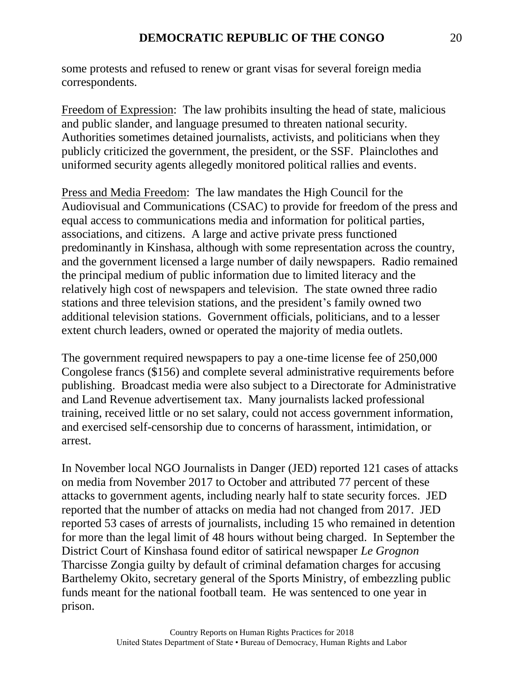some protests and refused to renew or grant visas for several foreign media correspondents.

Freedom of Expression: The law prohibits insulting the head of state, malicious and public slander, and language presumed to threaten national security. Authorities sometimes detained journalists, activists, and politicians when they publicly criticized the government, the president, or the SSF. Plainclothes and uniformed security agents allegedly monitored political rallies and events.

Press and Media Freedom: The law mandates the High Council for the Audiovisual and Communications (CSAC) to provide for freedom of the press and equal access to communications media and information for political parties, associations, and citizens. A large and active private press functioned predominantly in Kinshasa, although with some representation across the country, and the government licensed a large number of daily newspapers. Radio remained the principal medium of public information due to limited literacy and the relatively high cost of newspapers and television. The state owned three radio stations and three television stations, and the president's family owned two additional television stations. Government officials, politicians, and to a lesser extent church leaders, owned or operated the majority of media outlets.

The government required newspapers to pay a one-time license fee of 250,000 Congolese francs (\$156) and complete several administrative requirements before publishing. Broadcast media were also subject to a Directorate for Administrative and Land Revenue advertisement tax. Many journalists lacked professional training, received little or no set salary, could not access government information, and exercised self-censorship due to concerns of harassment, intimidation, or arrest.

In November local NGO Journalists in Danger (JED) reported 121 cases of attacks on media from November 2017 to October and attributed 77 percent of these attacks to government agents, including nearly half to state security forces. JED reported that the number of attacks on media had not changed from 2017. JED reported 53 cases of arrests of journalists, including 15 who remained in detention for more than the legal limit of 48 hours without being charged. In September the District Court of Kinshasa found editor of satirical newspaper *Le Grognon* Tharcisse Zongia guilty by default of criminal defamation charges for accusing Barthelemy Okito, secretary general of the Sports Ministry, of embezzling public funds meant for the national football team. He was sentenced to one year in prison.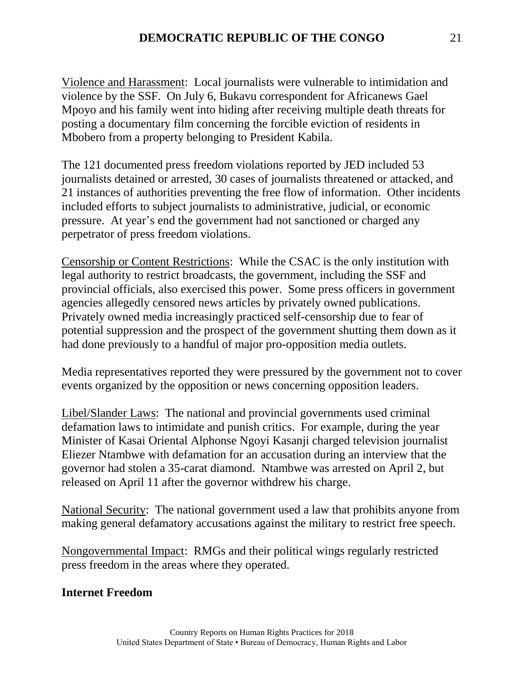Violence and Harassment: Local journalists were vulnerable to intimidation and violence by the SSF. On July 6, Bukavu correspondent for Africanews Gael Mpoyo and his family went into hiding after receiving multiple death threats for posting a documentary film concerning the forcible eviction of residents in Mbobero from a property belonging to President Kabila.

The 121 documented press freedom violations reported by JED included 53 journalists detained or arrested, 30 cases of journalists threatened or attacked, and 21 instances of authorities preventing the free flow of information. Other incidents included efforts to subject journalists to administrative, judicial, or economic pressure. At year's end the government had not sanctioned or charged any perpetrator of press freedom violations.

Censorship or Content Restrictions: While the CSAC is the only institution with legal authority to restrict broadcasts, the government, including the SSF and provincial officials, also exercised this power. Some press officers in government agencies allegedly censored news articles by privately owned publications. Privately owned media increasingly practiced self-censorship due to fear of potential suppression and the prospect of the government shutting them down as it had done previously to a handful of major pro-opposition media outlets.

Media representatives reported they were pressured by the government not to cover events organized by the opposition or news concerning opposition leaders.

Libel/Slander Laws: The national and provincial governments used criminal defamation laws to intimidate and punish critics. For example, during the year Minister of Kasai Oriental Alphonse Ngoyi Kasanji charged television journalist Eliezer Ntambwe with defamation for an accusation during an interview that the governor had stolen a 35-carat diamond. Ntambwe was arrested on April 2, but released on April 11 after the governor withdrew his charge.

National Security: The national government used a law that prohibits anyone from making general defamatory accusations against the military to restrict free speech.

Nongovernmental Impact: RMGs and their political wings regularly restricted press freedom in the areas where they operated.

# **Internet Freedom**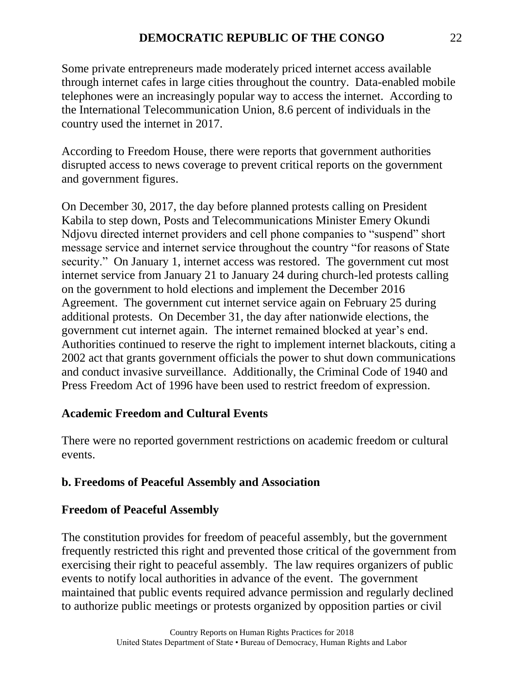Some private entrepreneurs made moderately priced internet access available through internet cafes in large cities throughout the country. Data-enabled mobile telephones were an increasingly popular way to access the internet. According to the International Telecommunication Union, 8.6 percent of individuals in the country used the internet in 2017.

According to Freedom House, there were reports that government authorities disrupted access to news coverage to prevent critical reports on the government and government figures.

On December 30, 2017, the day before planned protests calling on President Kabila to step down, Posts and Telecommunications Minister Emery Okundi Ndjovu directed internet providers and cell phone companies to "suspend" short message service and internet service throughout the country "for reasons of State security." On January 1, internet access was restored. The government cut most internet service from January 21 to January 24 during church-led protests calling on the government to hold elections and implement the December 2016 Agreement. The government cut internet service again on February 25 during additional protests. On December 31, the day after nationwide elections, the government cut internet again. The internet remained blocked at year's end. Authorities continued to reserve the right to implement internet blackouts, citing a 2002 act that grants government officials the power to shut down communications and conduct invasive surveillance. Additionally, the Criminal Code of 1940 and Press Freedom Act of 1996 have been used to restrict freedom of expression.

# **Academic Freedom and Cultural Events**

There were no reported government restrictions on academic freedom or cultural events.

#### **b. Freedoms of Peaceful Assembly and Association**

#### **Freedom of Peaceful Assembly**

The constitution provides for freedom of peaceful assembly, but the government frequently restricted this right and prevented those critical of the government from exercising their right to peaceful assembly. The law requires organizers of public events to notify local authorities in advance of the event. The government maintained that public events required advance permission and regularly declined to authorize public meetings or protests organized by opposition parties or civil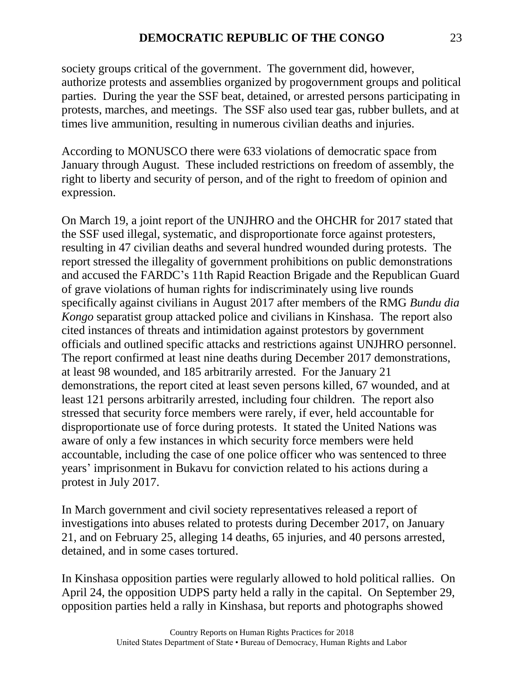society groups critical of the government. The government did, however, authorize protests and assemblies organized by progovernment groups and political parties. During the year the SSF beat, detained, or arrested persons participating in protests, marches, and meetings. The SSF also used tear gas, rubber bullets, and at times live ammunition, resulting in numerous civilian deaths and injuries.

According to MONUSCO there were 633 violations of democratic space from January through August. These included restrictions on freedom of assembly, the right to liberty and security of person, and of the right to freedom of opinion and expression.

On March 19, a joint report of the UNJHRO and the OHCHR for 2017 stated that the SSF used illegal, systematic, and disproportionate force against protesters, resulting in 47 civilian deaths and several hundred wounded during protests. The report stressed the illegality of government prohibitions on public demonstrations and accused the FARDC's 11th Rapid Reaction Brigade and the Republican Guard of grave violations of human rights for indiscriminately using live rounds specifically against civilians in August 2017 after members of the RMG *Bundu dia Kongo* separatist group attacked police and civilians in Kinshasa. The report also cited instances of threats and intimidation against protestors by government officials and outlined specific attacks and restrictions against UNJHRO personnel. The report confirmed at least nine deaths during December 2017 demonstrations, at least 98 wounded, and 185 arbitrarily arrested. For the January 21 demonstrations, the report cited at least seven persons killed, 67 wounded, and at least 121 persons arbitrarily arrested, including four children. The report also stressed that security force members were rarely, if ever, held accountable for disproportionate use of force during protests. It stated the United Nations was aware of only a few instances in which security force members were held accountable, including the case of one police officer who was sentenced to three years' imprisonment in Bukavu for conviction related to his actions during a protest in July 2017.

In March government and civil society representatives released a report of investigations into abuses related to protests during December 2017, on January 21, and on February 25, alleging 14 deaths, 65 injuries, and 40 persons arrested, detained, and in some cases tortured.

In Kinshasa opposition parties were regularly allowed to hold political rallies. On April 24, the opposition UDPS party held a rally in the capital. On September 29, opposition parties held a rally in Kinshasa, but reports and photographs showed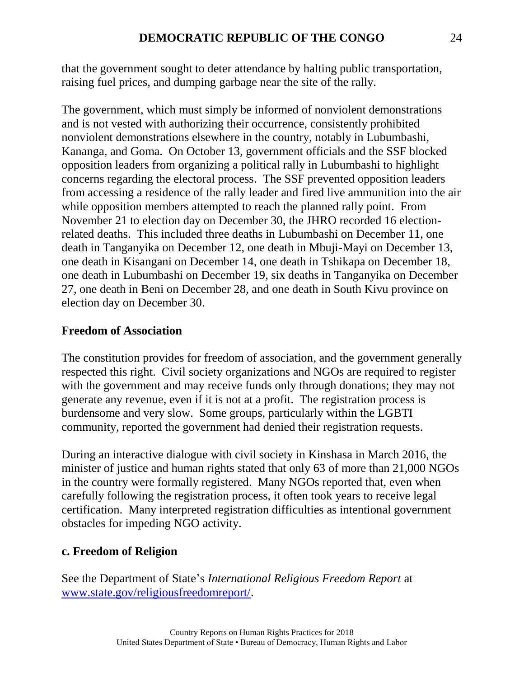that the government sought to deter attendance by halting public transportation, raising fuel prices, and dumping garbage near the site of the rally.

The government, which must simply be informed of nonviolent demonstrations and is not vested with authorizing their occurrence, consistently prohibited nonviolent demonstrations elsewhere in the country, notably in Lubumbashi, Kananga, and Goma. On October 13, government officials and the SSF blocked opposition leaders from organizing a political rally in Lubumbashi to highlight concerns regarding the electoral process. The SSF prevented opposition leaders from accessing a residence of the rally leader and fired live ammunition into the air while opposition members attempted to reach the planned rally point. From November 21 to election day on December 30, the JHRO recorded 16 electionrelated deaths. This included three deaths in Lubumbashi on December 11, one death in Tanganyika on December 12, one death in Mbuji-Mayi on December 13, one death in Kisangani on December 14, one death in Tshikapa on December 18, one death in Lubumbashi on December 19, six deaths in Tanganyika on December 27, one death in Beni on December 28, and one death in South Kivu province on election day on December 30.

#### **Freedom of Association**

The constitution provides for freedom of association, and the government generally respected this right. Civil society organizations and NGOs are required to register with the government and may receive funds only through donations; they may not generate any revenue, even if it is not at a profit. The registration process is burdensome and very slow. Some groups, particularly within the LGBTI community, reported the government had denied their registration requests.

During an interactive dialogue with civil society in Kinshasa in March 2016, the minister of justice and human rights stated that only 63 of more than 21,000 NGOs in the country were formally registered. Many NGOs reported that, even when carefully following the registration process, it often took years to receive legal certification. Many interpreted registration difficulties as intentional government obstacles for impeding NGO activity.

#### **c. Freedom of Religion**

See the Department of State's *International Religious Freedom Report* at [www.state.gov/religiousfreedomreport/.](http://www.state.gov/religiousfreedomreport/)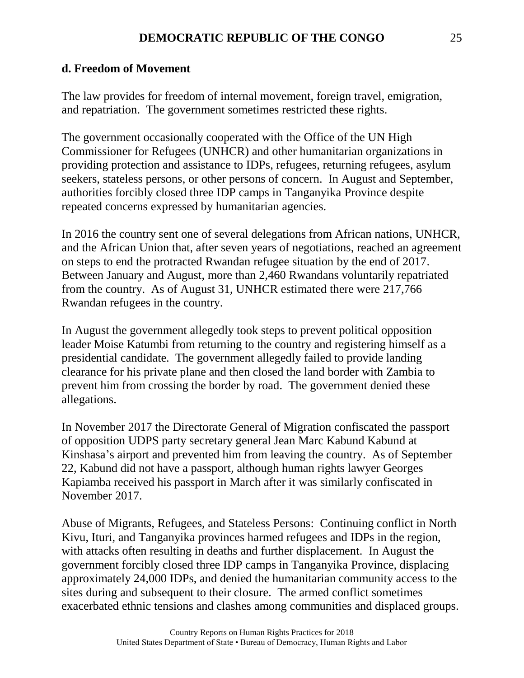#### **d. Freedom of Movement**

The law provides for freedom of internal movement, foreign travel, emigration, and repatriation. The government sometimes restricted these rights.

The government occasionally cooperated with the Office of the UN High Commissioner for Refugees (UNHCR) and other humanitarian organizations in providing protection and assistance to IDPs, refugees, returning refugees, asylum seekers, stateless persons, or other persons of concern. In August and September, authorities forcibly closed three IDP camps in Tanganyika Province despite repeated concerns expressed by humanitarian agencies.

In 2016 the country sent one of several delegations from African nations, UNHCR, and the African Union that, after seven years of negotiations, reached an agreement on steps to end the protracted Rwandan refugee situation by the end of 2017. Between January and August, more than 2,460 Rwandans voluntarily repatriated from the country. As of August 31, UNHCR estimated there were 217,766 Rwandan refugees in the country.

In August the government allegedly took steps to prevent political opposition leader Moise Katumbi from returning to the country and registering himself as a presidential candidate. The government allegedly failed to provide landing clearance for his private plane and then closed the land border with Zambia to prevent him from crossing the border by road. The government denied these allegations.

In November 2017 the Directorate General of Migration confiscated the passport of opposition UDPS party secretary general Jean Marc Kabund Kabund at Kinshasa's airport and prevented him from leaving the country. As of September 22, Kabund did not have a passport, although human rights lawyer Georges Kapiamba received his passport in March after it was similarly confiscated in November 2017.

Abuse of Migrants, Refugees, and Stateless Persons: Continuing conflict in North Kivu, Ituri, and Tanganyika provinces harmed refugees and IDPs in the region, with attacks often resulting in deaths and further displacement. In August the government forcibly closed three IDP camps in Tanganyika Province, displacing approximately 24,000 IDPs, and denied the humanitarian community access to the sites during and subsequent to their closure. The armed conflict sometimes exacerbated ethnic tensions and clashes among communities and displaced groups.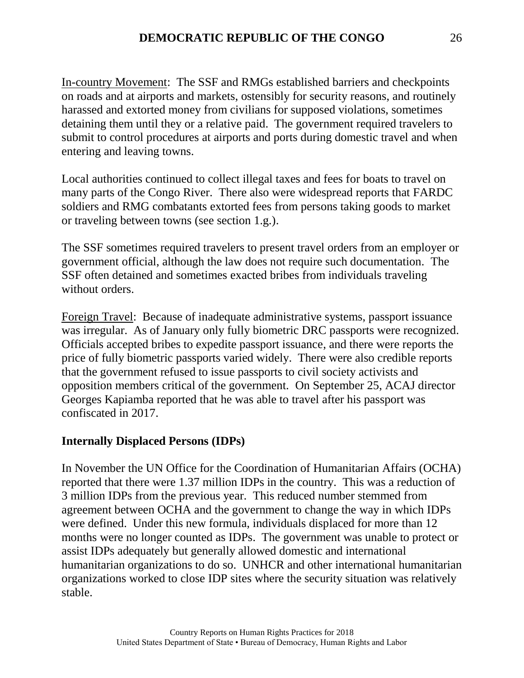In-country Movement: The SSF and RMGs established barriers and checkpoints on roads and at airports and markets, ostensibly for security reasons, and routinely harassed and extorted money from civilians for supposed violations, sometimes detaining them until they or a relative paid. The government required travelers to submit to control procedures at airports and ports during domestic travel and when entering and leaving towns.

Local authorities continued to collect illegal taxes and fees for boats to travel on many parts of the Congo River. There also were widespread reports that FARDC soldiers and RMG combatants extorted fees from persons taking goods to market or traveling between towns (see section 1.g.).

The SSF sometimes required travelers to present travel orders from an employer or government official, although the law does not require such documentation. The SSF often detained and sometimes exacted bribes from individuals traveling without orders.

Foreign Travel: Because of inadequate administrative systems, passport issuance was irregular. As of January only fully biometric DRC passports were recognized. Officials accepted bribes to expedite passport issuance, and there were reports the price of fully biometric passports varied widely. There were also credible reports that the government refused to issue passports to civil society activists and opposition members critical of the government. On September 25, ACAJ director Georges Kapiamba reported that he was able to travel after his passport was confiscated in 2017.

# **Internally Displaced Persons (IDPs)**

In November the UN Office for the Coordination of Humanitarian Affairs (OCHA) reported that there were 1.37 million IDPs in the country. This was a reduction of 3 million IDPs from the previous year. This reduced number stemmed from agreement between OCHA and the government to change the way in which IDPs were defined. Under this new formula, individuals displaced for more than 12 months were no longer counted as IDPs. The government was unable to protect or assist IDPs adequately but generally allowed domestic and international humanitarian organizations to do so. UNHCR and other international humanitarian organizations worked to close IDP sites where the security situation was relatively stable.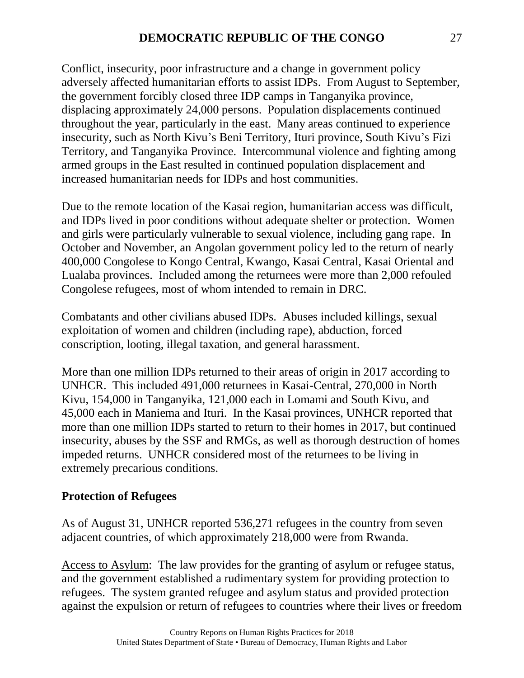Conflict, insecurity, poor infrastructure and a change in government policy adversely affected humanitarian efforts to assist IDPs. From August to September, the government forcibly closed three IDP camps in Tanganyika province, displacing approximately 24,000 persons. Population displacements continued throughout the year, particularly in the east. Many areas continued to experience insecurity, such as North Kivu's Beni Territory, Ituri province, South Kivu's Fizi Territory, and Tanganyika Province. Intercommunal violence and fighting among armed groups in the East resulted in continued population displacement and increased humanitarian needs for IDPs and host communities.

Due to the remote location of the Kasai region, humanitarian access was difficult, and IDPs lived in poor conditions without adequate shelter or protection. Women and girls were particularly vulnerable to sexual violence, including gang rape. In October and November, an Angolan government policy led to the return of nearly 400,000 Congolese to Kongo Central, Kwango, Kasai Central, Kasai Oriental and Lualaba provinces. Included among the returnees were more than 2,000 refouled Congolese refugees, most of whom intended to remain in DRC.

Combatants and other civilians abused IDPs. Abuses included killings, sexual exploitation of women and children (including rape), abduction, forced conscription, looting, illegal taxation, and general harassment.

More than one million IDPs returned to their areas of origin in 2017 according to UNHCR. This included 491,000 returnees in Kasai-Central, 270,000 in North Kivu, 154,000 in Tanganyika, 121,000 each in Lomami and South Kivu, and 45,000 each in Maniema and Ituri. In the Kasai provinces, UNHCR reported that more than one million IDPs started to return to their homes in 2017, but continued insecurity, abuses by the SSF and RMGs, as well as thorough destruction of homes impeded returns. UNHCR considered most of the returnees to be living in extremely precarious conditions.

# **Protection of Refugees**

As of August 31, UNHCR reported 536,271 refugees in the country from seven adjacent countries, of which approximately 218,000 were from Rwanda.

Access to Asylum: The law provides for the granting of asylum or refugee status, and the government established a rudimentary system for providing protection to refugees. The system granted refugee and asylum status and provided protection against the expulsion or return of refugees to countries where their lives or freedom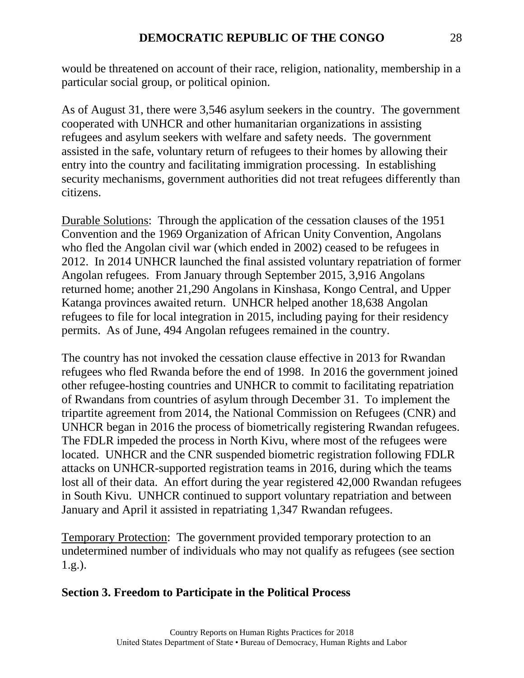would be threatened on account of their race, religion, nationality, membership in a particular social group, or political opinion.

As of August 31, there were 3,546 asylum seekers in the country. The government cooperated with UNHCR and other humanitarian organizations in assisting refugees and asylum seekers with welfare and safety needs. The government assisted in the safe, voluntary return of refugees to their homes by allowing their entry into the country and facilitating immigration processing. In establishing security mechanisms, government authorities did not treat refugees differently than citizens.

Durable Solutions: Through the application of the cessation clauses of the 1951 Convention and the 1969 Organization of African Unity Convention, Angolans who fled the Angolan civil war (which ended in 2002) ceased to be refugees in 2012. In 2014 UNHCR launched the final assisted voluntary repatriation of former Angolan refugees. From January through September 2015, 3,916 Angolans returned home; another 21,290 Angolans in Kinshasa, Kongo Central, and Upper Katanga provinces awaited return. UNHCR helped another 18,638 Angolan refugees to file for local integration in 2015, including paying for their residency permits. As of June, 494 Angolan refugees remained in the country.

The country has not invoked the cessation clause effective in 2013 for Rwandan refugees who fled Rwanda before the end of 1998. In 2016 the government joined other refugee-hosting countries and UNHCR to commit to facilitating repatriation of Rwandans from countries of asylum through December 31. To implement the tripartite agreement from 2014, the National Commission on Refugees (CNR) and UNHCR began in 2016 the process of biometrically registering Rwandan refugees. The FDLR impeded the process in North Kivu, where most of the refugees were located. UNHCR and the CNR suspended biometric registration following FDLR attacks on UNHCR-supported registration teams in 2016, during which the teams lost all of their data. An effort during the year registered 42,000 Rwandan refugees in South Kivu. UNHCR continued to support voluntary repatriation and between January and April it assisted in repatriating 1,347 Rwandan refugees.

Temporary Protection: The government provided temporary protection to an undetermined number of individuals who may not qualify as refugees (see section 1.g.).

#### **Section 3. Freedom to Participate in the Political Process**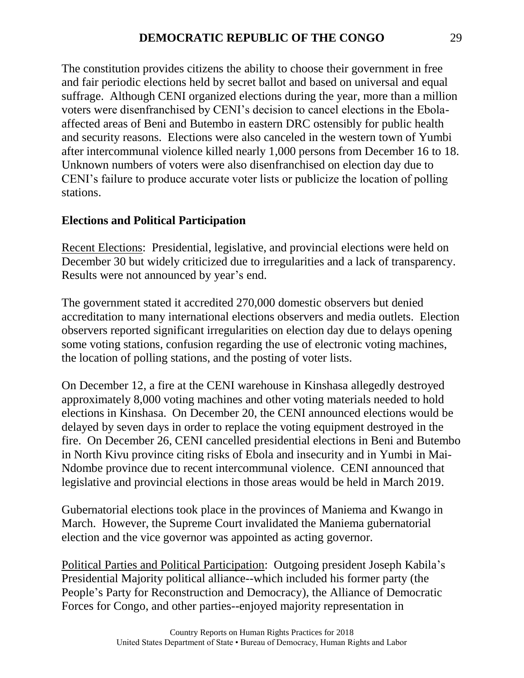The constitution provides citizens the ability to choose their government in free and fair periodic elections held by secret ballot and based on universal and equal suffrage. Although CENI organized elections during the year, more than a million voters were disenfranchised by CENI's decision to cancel elections in the Ebolaaffected areas of Beni and Butembo in eastern DRC ostensibly for public health and security reasons. Elections were also canceled in the western town of Yumbi after intercommunal violence killed nearly 1,000 persons from December 16 to 18. Unknown numbers of voters were also disenfranchised on election day due to CENI's failure to produce accurate voter lists or publicize the location of polling stations.

#### **Elections and Political Participation**

Recent Elections: Presidential, legislative, and provincial elections were held on December 30 but widely criticized due to irregularities and a lack of transparency. Results were not announced by year's end.

The government stated it accredited 270,000 domestic observers but denied accreditation to many international elections observers and media outlets. Election observers reported significant irregularities on election day due to delays opening some voting stations, confusion regarding the use of electronic voting machines, the location of polling stations, and the posting of voter lists.

On December 12, a fire at the CENI warehouse in Kinshasa allegedly destroyed approximately 8,000 voting machines and other voting materials needed to hold elections in Kinshasa. On December 20, the CENI announced elections would be delayed by seven days in order to replace the voting equipment destroyed in the fire. On December 26, CENI cancelled presidential elections in Beni and Butembo in North Kivu province citing risks of Ebola and insecurity and in Yumbi in Mai-Ndombe province due to recent intercommunal violence. CENI announced that legislative and provincial elections in those areas would be held in March 2019.

Gubernatorial elections took place in the provinces of Maniema and Kwango in March. However, the Supreme Court invalidated the Maniema gubernatorial election and the vice governor was appointed as acting governor.

Political Parties and Political Participation: Outgoing president Joseph Kabila's Presidential Majority political alliance--which included his former party (the People's Party for Reconstruction and Democracy), the Alliance of Democratic Forces for Congo, and other parties--enjoyed majority representation in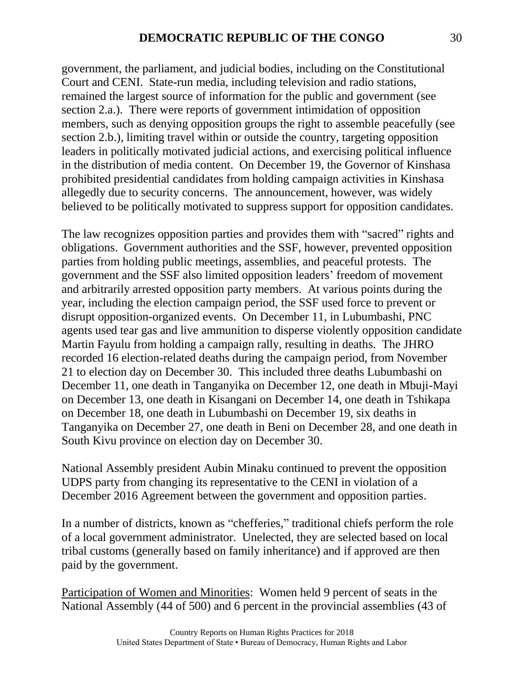government, the parliament, and judicial bodies, including on the Constitutional Court and CENI. State-run media, including television and radio stations, remained the largest source of information for the public and government (see section 2.a.). There were reports of government intimidation of opposition members, such as denying opposition groups the right to assemble peacefully (see section 2.b.), limiting travel within or outside the country, targeting opposition leaders in politically motivated judicial actions, and exercising political influence in the distribution of media content. On December 19, the Governor of Kinshasa prohibited presidential candidates from holding campaign activities in Kinshasa allegedly due to security concerns. The announcement, however, was widely believed to be politically motivated to suppress support for opposition candidates.

The law recognizes opposition parties and provides them with "sacred" rights and obligations. Government authorities and the SSF, however, prevented opposition parties from holding public meetings, assemblies, and peaceful protests. The government and the SSF also limited opposition leaders' freedom of movement and arbitrarily arrested opposition party members. At various points during the year, including the election campaign period, the SSF used force to prevent or disrupt opposition-organized events. On December 11, in Lubumbashi, PNC agents used tear gas and live ammunition to disperse violently opposition candidate Martin Fayulu from holding a campaign rally, resulting in deaths. The JHRO recorded 16 election-related deaths during the campaign period, from November 21 to election day on December 30. This included three deaths Lubumbashi on December 11, one death in Tanganyika on December 12, one death in Mbuji-Mayi on December 13, one death in Kisangani on December 14, one death in Tshikapa on December 18, one death in Lubumbashi on December 19, six deaths in Tanganyika on December 27, one death in Beni on December 28, and one death in South Kivu province on election day on December 30.

National Assembly president Aubin Minaku continued to prevent the opposition UDPS party from changing its representative to the CENI in violation of a December 2016 Agreement between the government and opposition parties.

In a number of districts, known as "chefferies," traditional chiefs perform the role of a local government administrator. Unelected, they are selected based on local tribal customs (generally based on family inheritance) and if approved are then paid by the government.

Participation of Women and Minorities: Women held 9 percent of seats in the National Assembly (44 of 500) and 6 percent in the provincial assemblies (43 of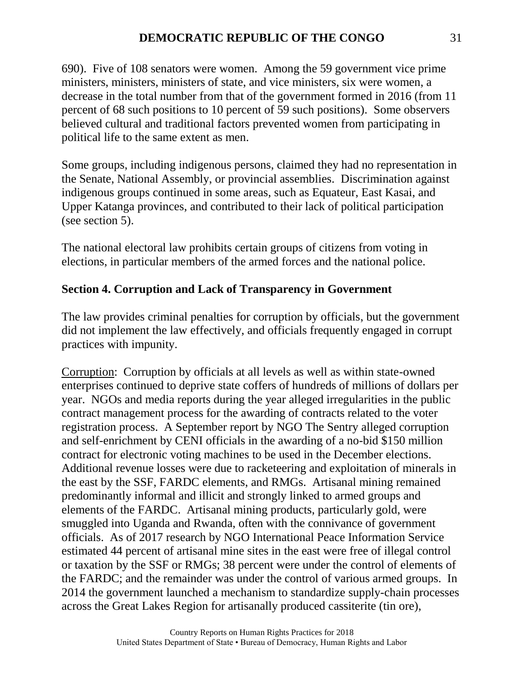690). Five of 108 senators were women. Among the 59 government vice prime ministers, ministers, ministers of state, and vice ministers, six were women, a decrease in the total number from that of the government formed in 2016 (from 11 percent of 68 such positions to 10 percent of 59 such positions). Some observers believed cultural and traditional factors prevented women from participating in political life to the same extent as men.

Some groups, including indigenous persons, claimed they had no representation in the Senate, National Assembly, or provincial assemblies. Discrimination against indigenous groups continued in some areas, such as Equateur, East Kasai, and Upper Katanga provinces, and contributed to their lack of political participation (see section 5).

The national electoral law prohibits certain groups of citizens from voting in elections, in particular members of the armed forces and the national police.

# **Section 4. Corruption and Lack of Transparency in Government**

The law provides criminal penalties for corruption by officials, but the government did not implement the law effectively, and officials frequently engaged in corrupt practices with impunity.

Corruption: Corruption by officials at all levels as well as within state-owned enterprises continued to deprive state coffers of hundreds of millions of dollars per year. NGOs and media reports during the year alleged irregularities in the public contract management process for the awarding of contracts related to the voter registration process. A September report by NGO The Sentry alleged corruption and self-enrichment by CENI officials in the awarding of a no-bid \$150 million contract for electronic voting machines to be used in the December elections. Additional revenue losses were due to racketeering and exploitation of minerals in the east by the SSF, FARDC elements, and RMGs. Artisanal mining remained predominantly informal and illicit and strongly linked to armed groups and elements of the FARDC. Artisanal mining products, particularly gold, were smuggled into Uganda and Rwanda, often with the connivance of government officials. As of 2017 research by NGO International Peace Information Service estimated 44 percent of artisanal mine sites in the east were free of illegal control or taxation by the SSF or RMGs; 38 percent were under the control of elements of the FARDC; and the remainder was under the control of various armed groups. In 2014 the government launched a mechanism to standardize supply-chain processes across the Great Lakes Region for artisanally produced cassiterite (tin ore),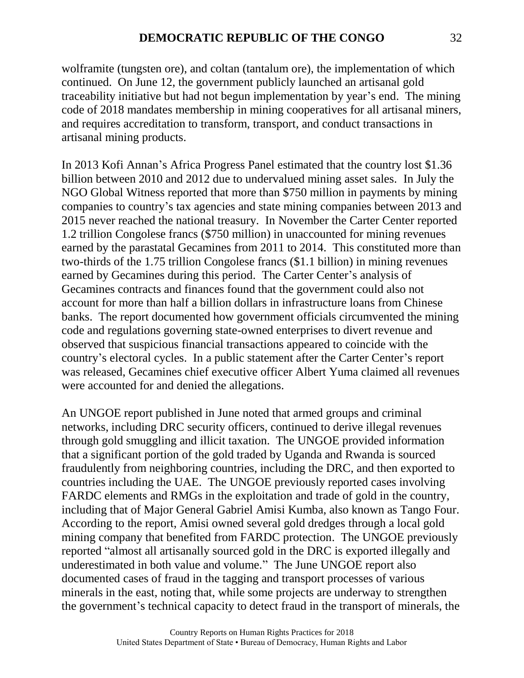wolframite (tungsten ore), and coltan (tantalum ore), the implementation of which continued. On June 12, the government publicly launched an artisanal gold traceability initiative but had not begun implementation by year's end. The mining code of 2018 mandates membership in mining cooperatives for all artisanal miners, and requires accreditation to transform, transport, and conduct transactions in artisanal mining products.

In 2013 Kofi Annan's Africa Progress Panel estimated that the country lost \$1.36 billion between 2010 and 2012 due to undervalued mining asset sales. In July the NGO Global Witness reported that more than \$750 million in payments by mining companies to country's tax agencies and state mining companies between 2013 and 2015 never reached the national treasury. In November the Carter Center reported 1.2 trillion Congolese francs (\$750 million) in unaccounted for mining revenues earned by the parastatal Gecamines from 2011 to 2014. This constituted more than two-thirds of the 1.75 trillion Congolese francs (\$1.1 billion) in mining revenues earned by Gecamines during this period. The Carter Center's analysis of Gecamines contracts and finances found that the government could also not account for more than half a billion dollars in infrastructure loans from Chinese banks. The report documented how government officials circumvented the mining code and regulations governing state-owned enterprises to divert revenue and observed that suspicious financial transactions appeared to coincide with the country's electoral cycles. In a public statement after the Carter Center's report was released, Gecamines chief executive officer Albert Yuma claimed all revenues were accounted for and denied the allegations.

An UNGOE report published in June noted that armed groups and criminal networks, including DRC security officers, continued to derive illegal revenues through gold smuggling and illicit taxation. The UNGOE provided information that a significant portion of the gold traded by Uganda and Rwanda is sourced fraudulently from neighboring countries, including the DRC, and then exported to countries including the UAE. The UNGOE previously reported cases involving FARDC elements and RMGs in the exploitation and trade of gold in the country, including that of Major General Gabriel Amisi Kumba, also known as Tango Four. According to the report, Amisi owned several gold dredges through a local gold mining company that benefited from FARDC protection. The UNGOE previously reported "almost all artisanally sourced gold in the DRC is exported illegally and underestimated in both value and volume." The June UNGOE report also documented cases of fraud in the tagging and transport processes of various minerals in the east, noting that, while some projects are underway to strengthen the government's technical capacity to detect fraud in the transport of minerals, the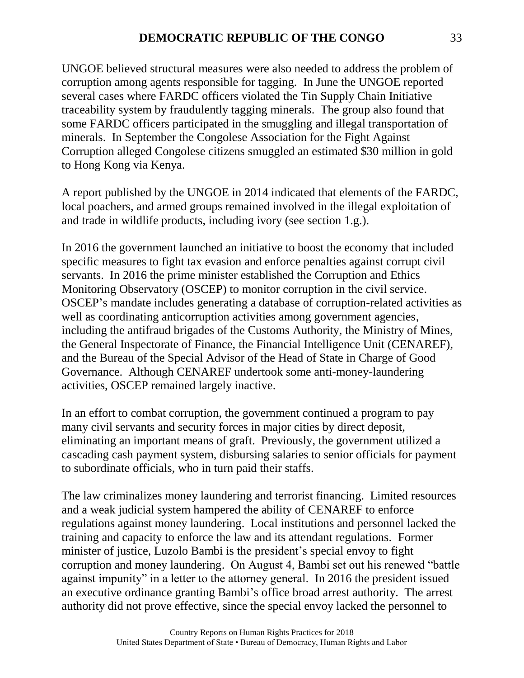UNGOE believed structural measures were also needed to address the problem of corruption among agents responsible for tagging. In June the UNGOE reported several cases where FARDC officers violated the Tin Supply Chain Initiative traceability system by fraudulently tagging minerals. The group also found that some FARDC officers participated in the smuggling and illegal transportation of minerals. In September the Congolese Association for the Fight Against Corruption alleged Congolese citizens smuggled an estimated \$30 million in gold to Hong Kong via Kenya.

A report published by the UNGOE in 2014 indicated that elements of the FARDC, local poachers, and armed groups remained involved in the illegal exploitation of and trade in wildlife products, including ivory (see section 1.g.).

In 2016 the government launched an initiative to boost the economy that included specific measures to fight tax evasion and enforce penalties against corrupt civil servants. In 2016 the prime minister established the Corruption and Ethics Monitoring Observatory (OSCEP) to monitor corruption in the civil service. OSCEP's mandate includes generating a database of corruption-related activities as well as coordinating anticorruption activities among government agencies, including the antifraud brigades of the Customs Authority, the Ministry of Mines, the General Inspectorate of Finance, the Financial Intelligence Unit (CENAREF), and the Bureau of the Special Advisor of the Head of State in Charge of Good Governance. Although CENAREF undertook some anti-money-laundering activities, OSCEP remained largely inactive.

In an effort to combat corruption, the government continued a program to pay many civil servants and security forces in major cities by direct deposit, eliminating an important means of graft. Previously, the government utilized a cascading cash payment system, disbursing salaries to senior officials for payment to subordinate officials, who in turn paid their staffs.

The law criminalizes money laundering and terrorist financing. Limited resources and a weak judicial system hampered the ability of CENAREF to enforce regulations against money laundering. Local institutions and personnel lacked the training and capacity to enforce the law and its attendant regulations. Former minister of justice, Luzolo Bambi is the president's special envoy to fight corruption and money laundering. On August 4, Bambi set out his renewed "battle against impunity" in a letter to the attorney general. In 2016 the president issued an executive ordinance granting Bambi's office broad arrest authority. The arrest authority did not prove effective, since the special envoy lacked the personnel to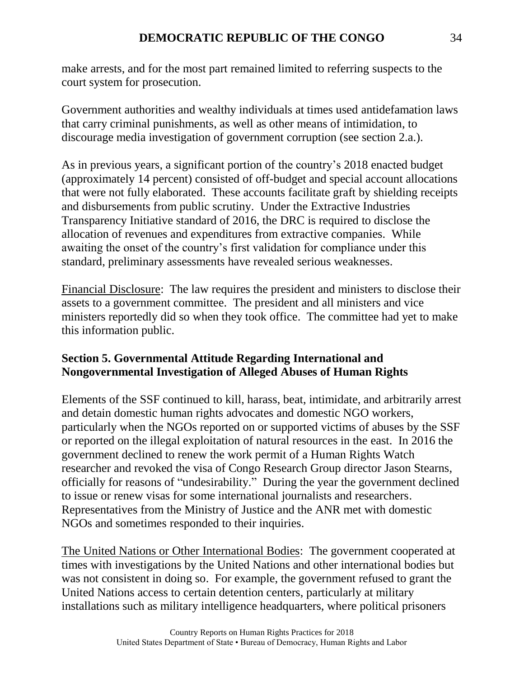make arrests, and for the most part remained limited to referring suspects to the court system for prosecution.

Government authorities and wealthy individuals at times used antidefamation laws that carry criminal punishments, as well as other means of intimidation, to discourage media investigation of government corruption (see section 2.a.).

As in previous years, a significant portion of the country's 2018 enacted budget (approximately 14 percent) consisted of off-budget and special account allocations that were not fully elaborated. These accounts facilitate graft by shielding receipts and disbursements from public scrutiny. Under the Extractive Industries Transparency Initiative standard of 2016, the DRC is required to disclose the allocation of revenues and expenditures from extractive companies. While awaiting the onset of the country's first validation for compliance under this standard, preliminary assessments have revealed serious weaknesses.

Financial Disclosure: The law requires the president and ministers to disclose their assets to a government committee. The president and all ministers and vice ministers reportedly did so when they took office. The committee had yet to make this information public.

# **Section 5. Governmental Attitude Regarding International and Nongovernmental Investigation of Alleged Abuses of Human Rights**

Elements of the SSF continued to kill, harass, beat, intimidate, and arbitrarily arrest and detain domestic human rights advocates and domestic NGO workers, particularly when the NGOs reported on or supported victims of abuses by the SSF or reported on the illegal exploitation of natural resources in the east. In 2016 the government declined to renew the work permit of a Human Rights Watch researcher and revoked the visa of Congo Research Group director Jason Stearns, officially for reasons of "undesirability." During the year the government declined to issue or renew visas for some international journalists and researchers. Representatives from the Ministry of Justice and the ANR met with domestic NGOs and sometimes responded to their inquiries.

The United Nations or Other International Bodies: The government cooperated at times with investigations by the United Nations and other international bodies but was not consistent in doing so. For example, the government refused to grant the United Nations access to certain detention centers, particularly at military installations such as military intelligence headquarters, where political prisoners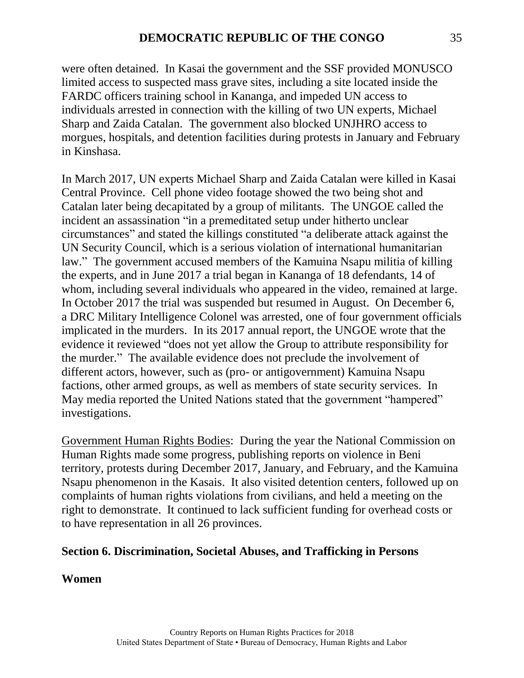were often detained. In Kasai the government and the SSF provided MONUSCO limited access to suspected mass grave sites, including a site located inside the FARDC officers training school in Kananga, and impeded UN access to individuals arrested in connection with the killing of two UN experts, Michael Sharp and Zaida Catalan. The government also blocked UNJHRO access to morgues, hospitals, and detention facilities during protests in January and February in Kinshasa.

In March 2017, UN experts Michael Sharp and Zaida Catalan were killed in Kasai Central Province. Cell phone video footage showed the two being shot and Catalan later being decapitated by a group of militants. The UNGOE called the incident an assassination "in a premeditated setup under hitherto unclear circumstances" and stated the killings constituted "a deliberate attack against the UN Security Council, which is a serious violation of international humanitarian law." The government accused members of the Kamuina Nsapu militia of killing the experts, and in June 2017 a trial began in Kananga of 18 defendants, 14 of whom, including several individuals who appeared in the video, remained at large. In October 2017 the trial was suspended but resumed in August. On December 6, a DRC Military Intelligence Colonel was arrested, one of four government officials implicated in the murders. In its 2017 annual report, the UNGOE wrote that the evidence it reviewed "does not yet allow the Group to attribute responsibility for the murder." The available evidence does not preclude the involvement of different actors, however, such as (pro- or antigovernment) Kamuina Nsapu factions, other armed groups, as well as members of state security services. In May media reported the United Nations stated that the government "hampered" investigations.

Government Human Rights Bodies: During the year the National Commission on Human Rights made some progress, publishing reports on violence in Beni territory, protests during December 2017, January, and February, and the Kamuina Nsapu phenomenon in the Kasais. It also visited detention centers, followed up on complaints of human rights violations from civilians, and held a meeting on the right to demonstrate. It continued to lack sufficient funding for overhead costs or to have representation in all 26 provinces.

#### **Section 6. Discrimination, Societal Abuses, and Trafficking in Persons**

**Women**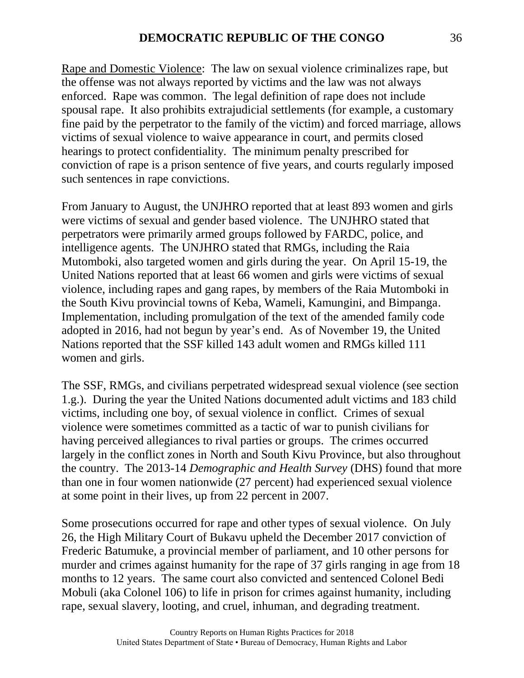Rape and Domestic Violence: The law on sexual violence criminalizes rape, but the offense was not always reported by victims and the law was not always enforced. Rape was common. The legal definition of rape does not include spousal rape. It also prohibits extrajudicial settlements (for example, a customary fine paid by the perpetrator to the family of the victim) and forced marriage, allows victims of sexual violence to waive appearance in court, and permits closed hearings to protect confidentiality. The minimum penalty prescribed for conviction of rape is a prison sentence of five years, and courts regularly imposed such sentences in rape convictions.

From January to August, the UNJHRO reported that at least 893 women and girls were victims of sexual and gender based violence. The UNJHRO stated that perpetrators were primarily armed groups followed by FARDC, police, and intelligence agents. The UNJHRO stated that RMGs, including the Raia Mutomboki, also targeted women and girls during the year. On April 15-19, the United Nations reported that at least 66 women and girls were victims of sexual violence, including rapes and gang rapes, by members of the Raia Mutomboki in the South Kivu provincial towns of Keba, Wameli, Kamungini, and Bimpanga. Implementation, including promulgation of the text of the amended family code adopted in 2016, had not begun by year's end. As of November 19, the United Nations reported that the SSF killed 143 adult women and RMGs killed 111 women and girls.

The SSF, RMGs, and civilians perpetrated widespread sexual violence (see section 1.g.). During the year the United Nations documented adult victims and 183 child victims, including one boy, of sexual violence in conflict. Crimes of sexual violence were sometimes committed as a tactic of war to punish civilians for having perceived allegiances to rival parties or groups. The crimes occurred largely in the conflict zones in North and South Kivu Province, but also throughout the country. The 2013-14 *Demographic and Health Survey* (DHS) found that more than one in four women nationwide (27 percent) had experienced sexual violence at some point in their lives, up from 22 percent in 2007.

Some prosecutions occurred for rape and other types of sexual violence. On July 26, the High Military Court of Bukavu upheld the December 2017 conviction of Frederic Batumuke, a provincial member of parliament, and 10 other persons for murder and crimes against humanity for the rape of 37 girls ranging in age from 18 months to 12 years. The same court also convicted and sentenced Colonel Bedi Mobuli (aka Colonel 106) to life in prison for crimes against humanity, including rape, sexual slavery, looting, and cruel, inhuman, and degrading treatment.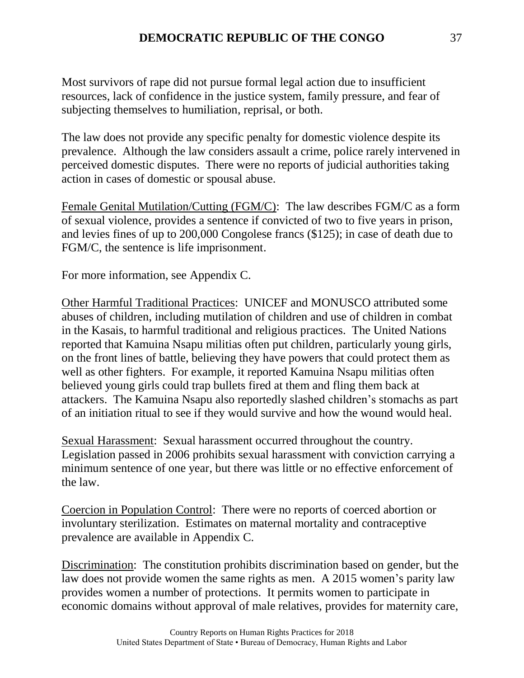Most survivors of rape did not pursue formal legal action due to insufficient resources, lack of confidence in the justice system, family pressure, and fear of subjecting themselves to humiliation, reprisal, or both.

The law does not provide any specific penalty for domestic violence despite its prevalence. Although the law considers assault a crime, police rarely intervened in perceived domestic disputes. There were no reports of judicial authorities taking action in cases of domestic or spousal abuse.

Female Genital Mutilation/Cutting (FGM/C): The law describes FGM/C as a form of sexual violence, provides a sentence if convicted of two to five years in prison, and levies fines of up to 200,000 Congolese francs (\$125); in case of death due to FGM/C, the sentence is life imprisonment.

For more information, see Appendix C.

Other Harmful Traditional Practices: UNICEF and MONUSCO attributed some abuses of children, including mutilation of children and use of children in combat in the Kasais, to harmful traditional and religious practices. The United Nations reported that Kamuina Nsapu militias often put children, particularly young girls, on the front lines of battle, believing they have powers that could protect them as well as other fighters. For example, it reported Kamuina Nsapu militias often believed young girls could trap bullets fired at them and fling them back at attackers. The Kamuina Nsapu also reportedly slashed children's stomachs as part of an initiation ritual to see if they would survive and how the wound would heal.

Sexual Harassment: Sexual harassment occurred throughout the country. Legislation passed in 2006 prohibits sexual harassment with conviction carrying a minimum sentence of one year, but there was little or no effective enforcement of the law.

Coercion in Population Control: There were no reports of coerced abortion or involuntary sterilization. Estimates on maternal mortality and contraceptive prevalence are available in Appendix C.

Discrimination: The constitution prohibits discrimination based on gender, but the law does not provide women the same rights as men. A 2015 women's parity law provides women a number of protections. It permits women to participate in economic domains without approval of male relatives, provides for maternity care,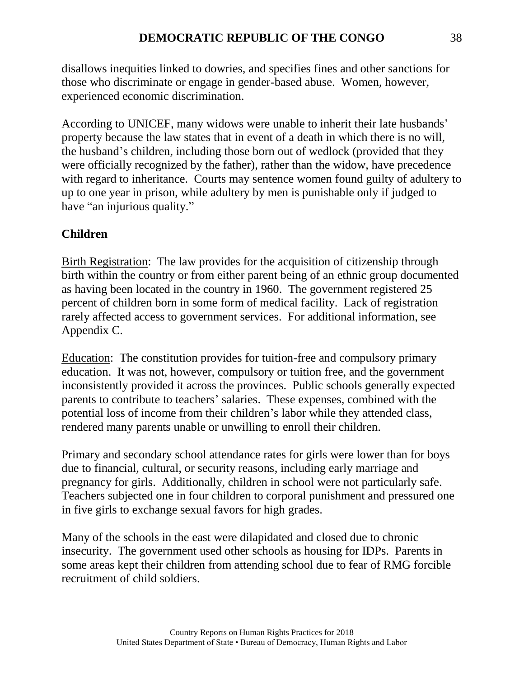disallows inequities linked to dowries, and specifies fines and other sanctions for those who discriminate or engage in gender-based abuse. Women, however, experienced economic discrimination.

According to UNICEF, many widows were unable to inherit their late husbands' property because the law states that in event of a death in which there is no will, the husband's children, including those born out of wedlock (provided that they were officially recognized by the father), rather than the widow, have precedence with regard to inheritance. Courts may sentence women found guilty of adultery to up to one year in prison, while adultery by men is punishable only if judged to have "an injurious quality."

# **Children**

Birth Registration: The law provides for the acquisition of citizenship through birth within the country or from either parent being of an ethnic group documented as having been located in the country in 1960. The government registered 25 percent of children born in some form of medical facility. Lack of registration rarely affected access to government services. For additional information, see Appendix C.

Education: The constitution provides for tuition-free and compulsory primary education. It was not, however, compulsory or tuition free, and the government inconsistently provided it across the provinces. Public schools generally expected parents to contribute to teachers' salaries. These expenses, combined with the potential loss of income from their children's labor while they attended class, rendered many parents unable or unwilling to enroll their children.

Primary and secondary school attendance rates for girls were lower than for boys due to financial, cultural, or security reasons, including early marriage and pregnancy for girls. Additionally, children in school were not particularly safe. Teachers subjected one in four children to corporal punishment and pressured one in five girls to exchange sexual favors for high grades.

Many of the schools in the east were dilapidated and closed due to chronic insecurity. The government used other schools as housing for IDPs. Parents in some areas kept their children from attending school due to fear of RMG forcible recruitment of child soldiers.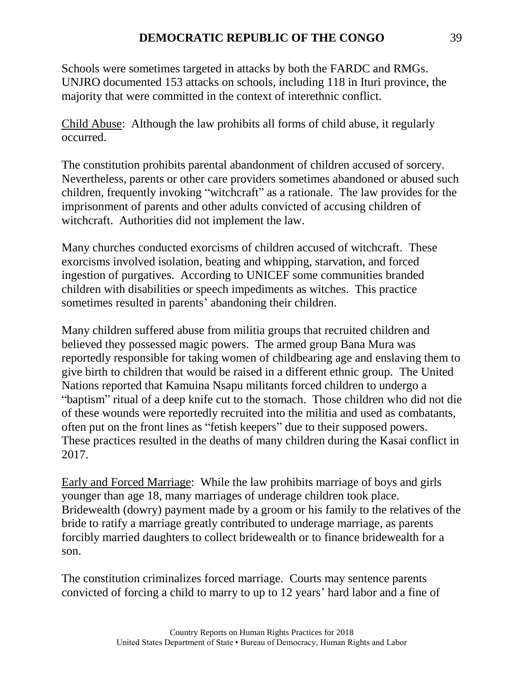#### **DEMOCRATIC REPUBLIC OF THE CONGO** 39

Schools were sometimes targeted in attacks by both the FARDC and RMGs. UNJRO documented 153 attacks on schools, including 118 in Ituri province, the majority that were committed in the context of interethnic conflict.

Child Abuse: Although the law prohibits all forms of child abuse, it regularly occurred.

The constitution prohibits parental abandonment of children accused of sorcery. Nevertheless, parents or other care providers sometimes abandoned or abused such children, frequently invoking "witchcraft" as a rationale. The law provides for the imprisonment of parents and other adults convicted of accusing children of witchcraft. Authorities did not implement the law.

Many churches conducted exorcisms of children accused of witchcraft. These exorcisms involved isolation, beating and whipping, starvation, and forced ingestion of purgatives. According to UNICEF some communities branded children with disabilities or speech impediments as witches. This practice sometimes resulted in parents' abandoning their children.

Many children suffered abuse from militia groups that recruited children and believed they possessed magic powers. The armed group Bana Mura was reportedly responsible for taking women of childbearing age and enslaving them to give birth to children that would be raised in a different ethnic group. The United Nations reported that Kamuina Nsapu militants forced children to undergo a "baptism" ritual of a deep knife cut to the stomach. Those children who did not die of these wounds were reportedly recruited into the militia and used as combatants, often put on the front lines as "fetish keepers" due to their supposed powers. These practices resulted in the deaths of many children during the Kasai conflict in 2017.

Early and Forced Marriage: While the law prohibits marriage of boys and girls younger than age 18, many marriages of underage children took place. Bridewealth (dowry) payment made by a groom or his family to the relatives of the bride to ratify a marriage greatly contributed to underage marriage, as parents forcibly married daughters to collect bridewealth or to finance bridewealth for a son.

The constitution criminalizes forced marriage. Courts may sentence parents convicted of forcing a child to marry to up to 12 years' hard labor and a fine of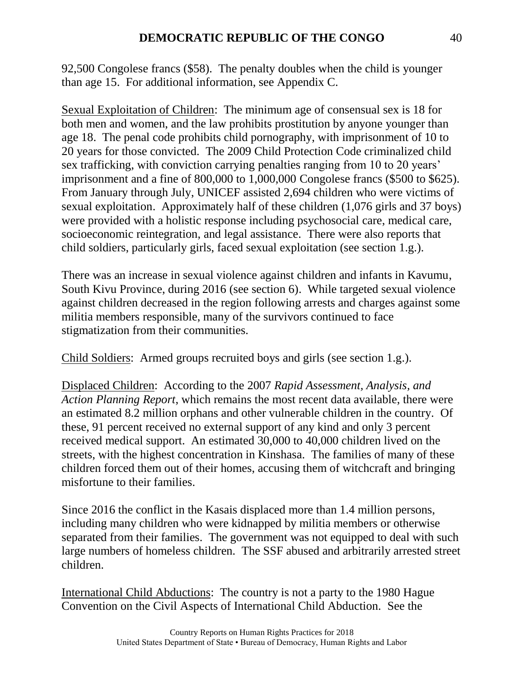92,500 Congolese francs (\$58). The penalty doubles when the child is younger than age 15. For additional information, see Appendix C.

Sexual Exploitation of Children: The minimum age of consensual sex is 18 for both men and women, and the law prohibits prostitution by anyone younger than age 18. The penal code prohibits child pornography, with imprisonment of 10 to 20 years for those convicted. The 2009 Child Protection Code criminalized child sex trafficking, with conviction carrying penalties ranging from 10 to 20 years' imprisonment and a fine of 800,000 to 1,000,000 Congolese francs (\$500 to \$625). From January through July, UNICEF assisted 2,694 children who were victims of sexual exploitation. Approximately half of these children (1,076 girls and 37 boys) were provided with a holistic response including psychosocial care, medical care, socioeconomic reintegration, and legal assistance. There were also reports that child soldiers, particularly girls, faced sexual exploitation (see section 1.g.).

There was an increase in sexual violence against children and infants in Kavumu, South Kivu Province, during 2016 (see section 6). While targeted sexual violence against children decreased in the region following arrests and charges against some militia members responsible, many of the survivors continued to face stigmatization from their communities.

Child Soldiers: Armed groups recruited boys and girls (see section 1.g.).

Displaced Children: According to the 2007 *Rapid Assessment, Analysis, and Action Planning Report*, which remains the most recent data available, there were an estimated 8.2 million orphans and other vulnerable children in the country. Of these, 91 percent received no external support of any kind and only 3 percent received medical support. An estimated 30,000 to 40,000 children lived on the streets, with the highest concentration in Kinshasa. The families of many of these children forced them out of their homes, accusing them of witchcraft and bringing misfortune to their families.

Since 2016 the conflict in the Kasais displaced more than 1.4 million persons, including many children who were kidnapped by militia members or otherwise separated from their families. The government was not equipped to deal with such large numbers of homeless children. The SSF abused and arbitrarily arrested street children.

International Child Abductions: The country is not a party to the 1980 Hague Convention on the Civil Aspects of International Child Abduction. See the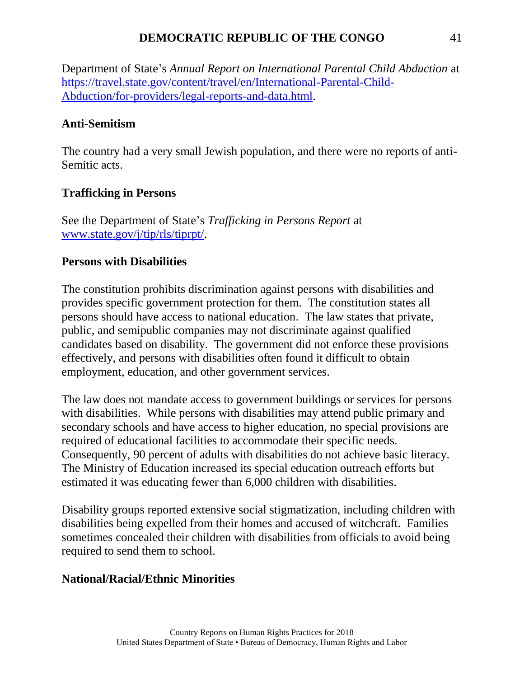#### **DEMOCRATIC REPUBLIC OF THE CONGO** 41

Department of State's *Annual Report on International Parental Child Abduction* at [https://travel.state.gov/content/travel/en/International-Parental-Child-](https://travel.state.gov/content/travel/en/International-Parental-Child-Abduction/for-providers/legal-reports-and-data.html)[Abduction/for-providers/legal-reports-and-data.html.](https://travel.state.gov/content/travel/en/International-Parental-Child-Abduction/for-providers/legal-reports-and-data.html)

# **Anti-Semitism**

The country had a very small Jewish population, and there were no reports of anti-Semitic acts.

# **Trafficking in Persons**

See the Department of State's *Trafficking in Persons Report* at [www.state.gov/j/tip/rls/tiprpt/.](http://www.state.gov/j/tip/rls/tiprpt/)

# **Persons with Disabilities**

The constitution prohibits discrimination against persons with disabilities and provides specific government protection for them. The constitution states all persons should have access to national education. The law states that private, public, and semipublic companies may not discriminate against qualified candidates based on disability. The government did not enforce these provisions effectively, and persons with disabilities often found it difficult to obtain employment, education, and other government services.

The law does not mandate access to government buildings or services for persons with disabilities. While persons with disabilities may attend public primary and secondary schools and have access to higher education, no special provisions are required of educational facilities to accommodate their specific needs. Consequently, 90 percent of adults with disabilities do not achieve basic literacy. The Ministry of Education increased its special education outreach efforts but estimated it was educating fewer than 6,000 children with disabilities.

Disability groups reported extensive social stigmatization, including children with disabilities being expelled from their homes and accused of witchcraft. Families sometimes concealed their children with disabilities from officials to avoid being required to send them to school.

# **National/Racial/Ethnic Minorities**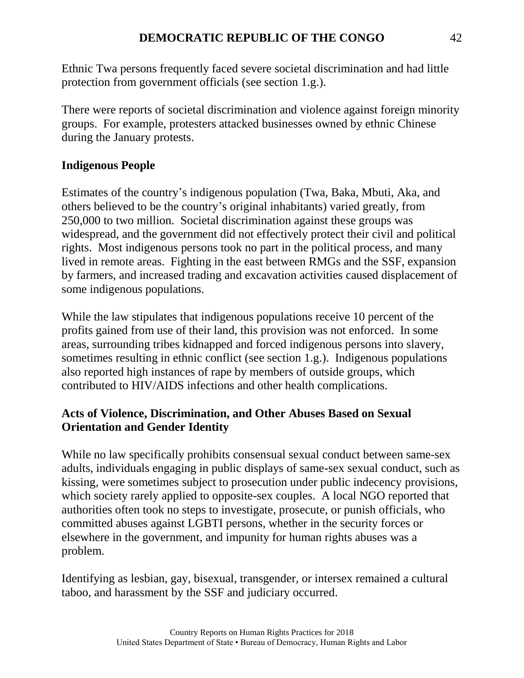Ethnic Twa persons frequently faced severe societal discrimination and had little protection from government officials (see section 1.g.).

There were reports of societal discrimination and violence against foreign minority groups. For example, protesters attacked businesses owned by ethnic Chinese during the January protests.

# **Indigenous People**

Estimates of the country's indigenous population (Twa, Baka, Mbuti, Aka, and others believed to be the country's original inhabitants) varied greatly, from 250,000 to two million. Societal discrimination against these groups was widespread, and the government did not effectively protect their civil and political rights. Most indigenous persons took no part in the political process, and many lived in remote areas. Fighting in the east between RMGs and the SSF, expansion by farmers, and increased trading and excavation activities caused displacement of some indigenous populations.

While the law stipulates that indigenous populations receive 10 percent of the profits gained from use of their land, this provision was not enforced. In some areas, surrounding tribes kidnapped and forced indigenous persons into slavery, sometimes resulting in ethnic conflict (see section 1.g.). Indigenous populations also reported high instances of rape by members of outside groups, which contributed to HIV/AIDS infections and other health complications.

# **Acts of Violence, Discrimination, and Other Abuses Based on Sexual Orientation and Gender Identity**

While no law specifically prohibits consensual sexual conduct between same-sex adults, individuals engaging in public displays of same-sex sexual conduct, such as kissing, were sometimes subject to prosecution under public indecency provisions, which society rarely applied to opposite-sex couples. A local NGO reported that authorities often took no steps to investigate, prosecute, or punish officials, who committed abuses against LGBTI persons, whether in the security forces or elsewhere in the government, and impunity for human rights abuses was a problem.

Identifying as lesbian, gay, bisexual, transgender, or intersex remained a cultural taboo, and harassment by the SSF and judiciary occurred.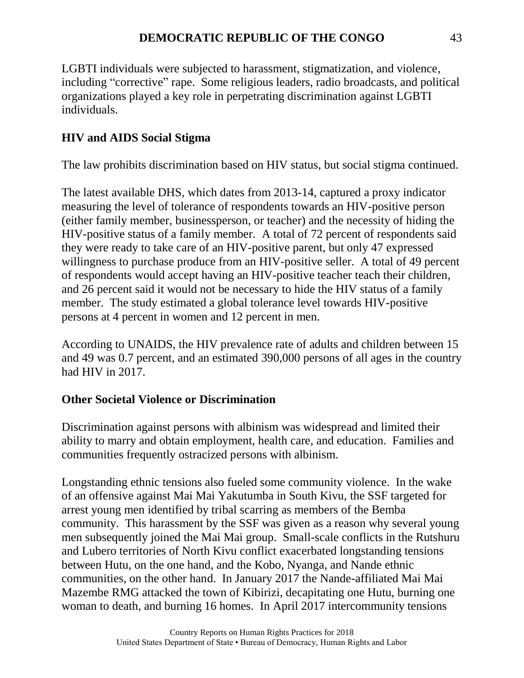LGBTI individuals were subjected to harassment, stigmatization, and violence, including "corrective" rape. Some religious leaders, radio broadcasts, and political organizations played a key role in perpetrating discrimination against LGBTI individuals.

# **HIV and AIDS Social Stigma**

The law prohibits discrimination based on HIV status, but social stigma continued.

The latest available DHS, which dates from 2013-14, captured a proxy indicator measuring the level of tolerance of respondents towards an HIV-positive person (either family member, businessperson, or teacher) and the necessity of hiding the HIV-positive status of a family member. A total of 72 percent of respondents said they were ready to take care of an HIV-positive parent, but only 47 expressed willingness to purchase produce from an HIV-positive seller. A total of 49 percent of respondents would accept having an HIV-positive teacher teach their children, and 26 percent said it would not be necessary to hide the HIV status of a family member. The study estimated a global tolerance level towards HIV-positive persons at 4 percent in women and 12 percent in men.

According to UNAIDS, the HIV prevalence rate of adults and children between 15 and 49 was 0.7 percent, and an estimated 390,000 persons of all ages in the country had HIV in 2017.

# **Other Societal Violence or Discrimination**

Discrimination against persons with albinism was widespread and limited their ability to marry and obtain employment, health care, and education. Families and communities frequently ostracized persons with albinism.

Longstanding ethnic tensions also fueled some community violence. In the wake of an offensive against Mai Mai Yakutumba in South Kivu, the SSF targeted for arrest young men identified by tribal scarring as members of the Bemba community. This harassment by the SSF was given as a reason why several young men subsequently joined the Mai Mai group. Small-scale conflicts in the Rutshuru and Lubero territories of North Kivu conflict exacerbated longstanding tensions between Hutu, on the one hand, and the Kobo, Nyanga, and Nande ethnic communities, on the other hand. In January 2017 the Nande-affiliated Mai Mai Mazembe RMG attacked the town of Kibirizi, decapitating one Hutu, burning one woman to death, and burning 16 homes. In April 2017 intercommunity tensions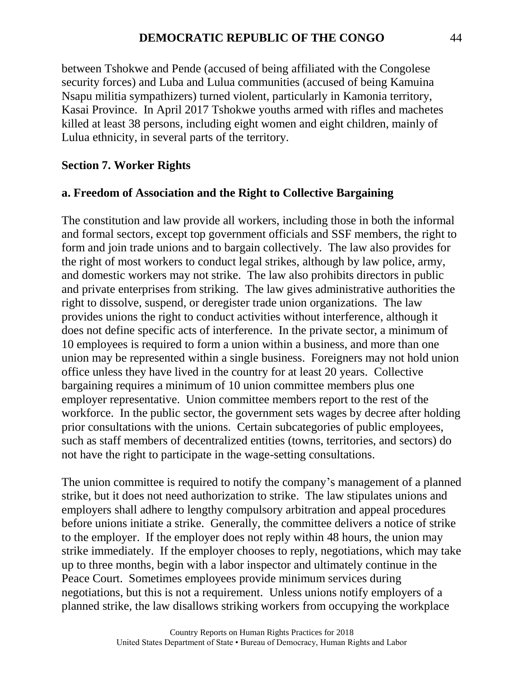between Tshokwe and Pende (accused of being affiliated with the Congolese security forces) and Luba and Lulua communities (accused of being Kamuina Nsapu militia sympathizers) turned violent, particularly in Kamonia territory, Kasai Province. In April 2017 Tshokwe youths armed with rifles and machetes killed at least 38 persons, including eight women and eight children, mainly of Lulua ethnicity, in several parts of the territory.

#### **Section 7. Worker Rights**

#### **a. Freedom of Association and the Right to Collective Bargaining**

The constitution and law provide all workers, including those in both the informal and formal sectors, except top government officials and SSF members, the right to form and join trade unions and to bargain collectively. The law also provides for the right of most workers to conduct legal strikes, although by law police, army, and domestic workers may not strike. The law also prohibits directors in public and private enterprises from striking. The law gives administrative authorities the right to dissolve, suspend, or deregister trade union organizations. The law provides unions the right to conduct activities without interference, although it does not define specific acts of interference. In the private sector, a minimum of 10 employees is required to form a union within a business, and more than one union may be represented within a single business. Foreigners may not hold union office unless they have lived in the country for at least 20 years. Collective bargaining requires a minimum of 10 union committee members plus one employer representative. Union committee members report to the rest of the workforce. In the public sector, the government sets wages by decree after holding prior consultations with the unions. Certain subcategories of public employees, such as staff members of decentralized entities (towns, territories, and sectors) do not have the right to participate in the wage-setting consultations.

The union committee is required to notify the company's management of a planned strike, but it does not need authorization to strike. The law stipulates unions and employers shall adhere to lengthy compulsory arbitration and appeal procedures before unions initiate a strike. Generally, the committee delivers a notice of strike to the employer. If the employer does not reply within 48 hours, the union may strike immediately. If the employer chooses to reply, negotiations, which may take up to three months, begin with a labor inspector and ultimately continue in the Peace Court. Sometimes employees provide minimum services during negotiations, but this is not a requirement. Unless unions notify employers of a planned strike, the law disallows striking workers from occupying the workplace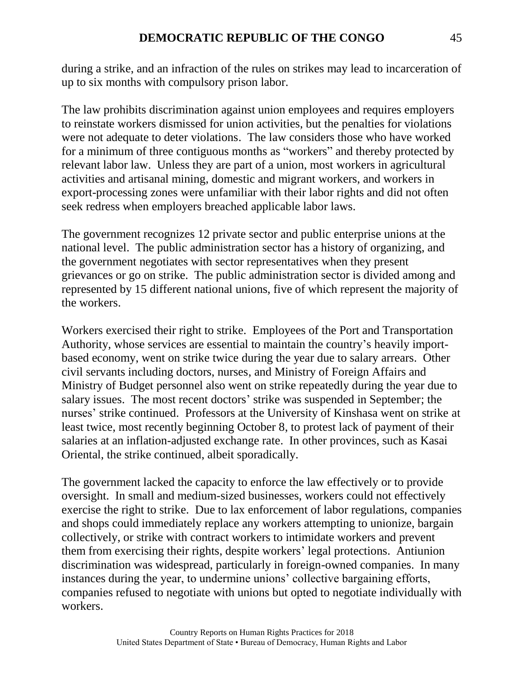during a strike, and an infraction of the rules on strikes may lead to incarceration of up to six months with compulsory prison labor.

The law prohibits discrimination against union employees and requires employers to reinstate workers dismissed for union activities, but the penalties for violations were not adequate to deter violations. The law considers those who have worked for a minimum of three contiguous months as "workers" and thereby protected by relevant labor law. Unless they are part of a union, most workers in agricultural activities and artisanal mining, domestic and migrant workers, and workers in export-processing zones were unfamiliar with their labor rights and did not often seek redress when employers breached applicable labor laws.

The government recognizes 12 private sector and public enterprise unions at the national level. The public administration sector has a history of organizing, and the government negotiates with sector representatives when they present grievances or go on strike. The public administration sector is divided among and represented by 15 different national unions, five of which represent the majority of the workers.

Workers exercised their right to strike. Employees of the Port and Transportation Authority, whose services are essential to maintain the country's heavily importbased economy, went on strike twice during the year due to salary arrears. Other civil servants including doctors, nurses, and Ministry of Foreign Affairs and Ministry of Budget personnel also went on strike repeatedly during the year due to salary issues. The most recent doctors' strike was suspended in September; the nurses' strike continued. Professors at the University of Kinshasa went on strike at least twice, most recently beginning October 8, to protest lack of payment of their salaries at an inflation-adjusted exchange rate. In other provinces, such as Kasai Oriental, the strike continued, albeit sporadically.

The government lacked the capacity to enforce the law effectively or to provide oversight. In small and medium-sized businesses, workers could not effectively exercise the right to strike. Due to lax enforcement of labor regulations, companies and shops could immediately replace any workers attempting to unionize, bargain collectively, or strike with contract workers to intimidate workers and prevent them from exercising their rights, despite workers' legal protections. Antiunion discrimination was widespread, particularly in foreign-owned companies. In many instances during the year, to undermine unions' collective bargaining efforts, companies refused to negotiate with unions but opted to negotiate individually with workers.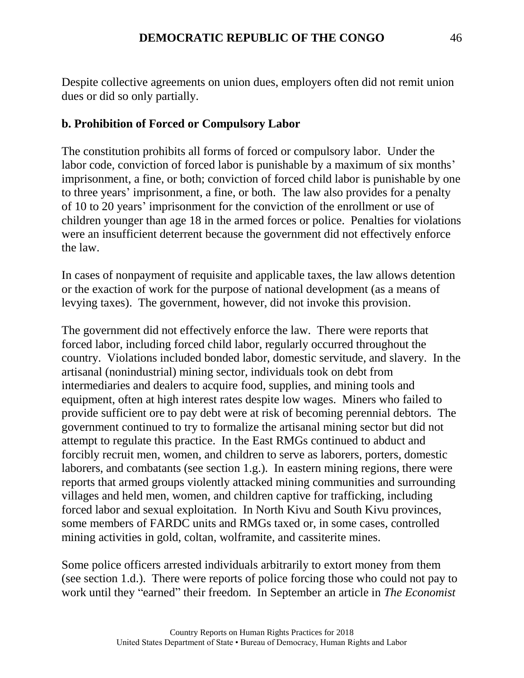Despite collective agreements on union dues, employers often did not remit union dues or did so only partially.

#### **b. Prohibition of Forced or Compulsory Labor**

The constitution prohibits all forms of forced or compulsory labor. Under the labor code, conviction of forced labor is punishable by a maximum of six months' imprisonment, a fine, or both; conviction of forced child labor is punishable by one to three years' imprisonment, a fine, or both. The law also provides for a penalty of 10 to 20 years' imprisonment for the conviction of the enrollment or use of children younger than age 18 in the armed forces or police. Penalties for violations were an insufficient deterrent because the government did not effectively enforce the law.

In cases of nonpayment of requisite and applicable taxes, the law allows detention or the exaction of work for the purpose of national development (as a means of levying taxes). The government, however, did not invoke this provision.

The government did not effectively enforce the law. There were reports that forced labor, including forced child labor, regularly occurred throughout the country. Violations included bonded labor, domestic servitude, and slavery. In the artisanal (nonindustrial) mining sector, individuals took on debt from intermediaries and dealers to acquire food, supplies, and mining tools and equipment, often at high interest rates despite low wages. Miners who failed to provide sufficient ore to pay debt were at risk of becoming perennial debtors. The government continued to try to formalize the artisanal mining sector but did not attempt to regulate this practice. In the East RMGs continued to abduct and forcibly recruit men, women, and children to serve as laborers, porters, domestic laborers, and combatants (see section 1.g.). In eastern mining regions, there were reports that armed groups violently attacked mining communities and surrounding villages and held men, women, and children captive for trafficking, including forced labor and sexual exploitation. In North Kivu and South Kivu provinces, some members of FARDC units and RMGs taxed or, in some cases, controlled mining activities in gold, coltan, wolframite, and cassiterite mines.

Some police officers arrested individuals arbitrarily to extort money from them (see section 1.d.). There were reports of police forcing those who could not pay to work until they "earned" their freedom. In September an article in *The Economist*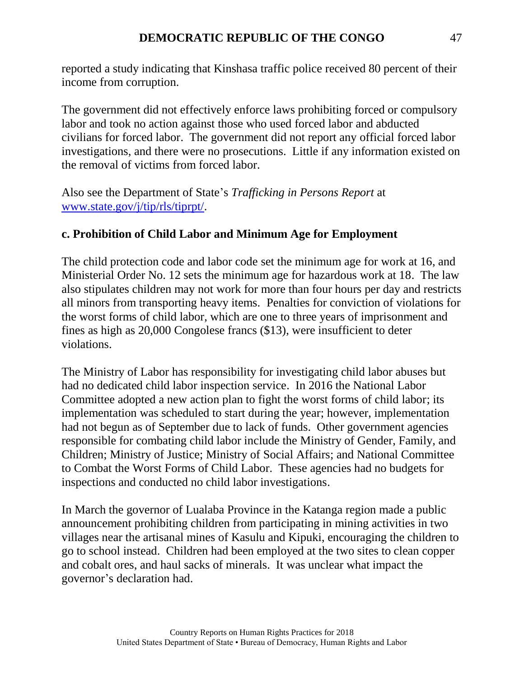reported a study indicating that Kinshasa traffic police received 80 percent of their income from corruption.

The government did not effectively enforce laws prohibiting forced or compulsory labor and took no action against those who used forced labor and abducted civilians for forced labor. The government did not report any official forced labor investigations, and there were no prosecutions. Little if any information existed on the removal of victims from forced labor.

Also see the Department of State's *Trafficking in Persons Report* at [www.state.gov/j/tip/rls/tiprpt/.](http://www.state.gov/j/tip/rls/tiprpt/)

#### **c. Prohibition of Child Labor and Minimum Age for Employment**

The child protection code and labor code set the minimum age for work at 16, and Ministerial Order No. 12 sets the minimum age for hazardous work at 18. The law also stipulates children may not work for more than four hours per day and restricts all minors from transporting heavy items. Penalties for conviction of violations for the worst forms of child labor, which are one to three years of imprisonment and fines as high as 20,000 Congolese francs (\$13), were insufficient to deter violations.

The Ministry of Labor has responsibility for investigating child labor abuses but had no dedicated child labor inspection service. In 2016 the National Labor Committee adopted a new action plan to fight the worst forms of child labor; its implementation was scheduled to start during the year; however, implementation had not begun as of September due to lack of funds. Other government agencies responsible for combating child labor include the Ministry of Gender, Family, and Children; Ministry of Justice; Ministry of Social Affairs; and National Committee to Combat the Worst Forms of Child Labor. These agencies had no budgets for inspections and conducted no child labor investigations.

In March the governor of Lualaba Province in the Katanga region made a public announcement prohibiting children from participating in mining activities in two villages near the artisanal mines of Kasulu and Kipuki, encouraging the children to go to school instead. Children had been employed at the two sites to clean copper and cobalt ores, and haul sacks of minerals. It was unclear what impact the governor's declaration had.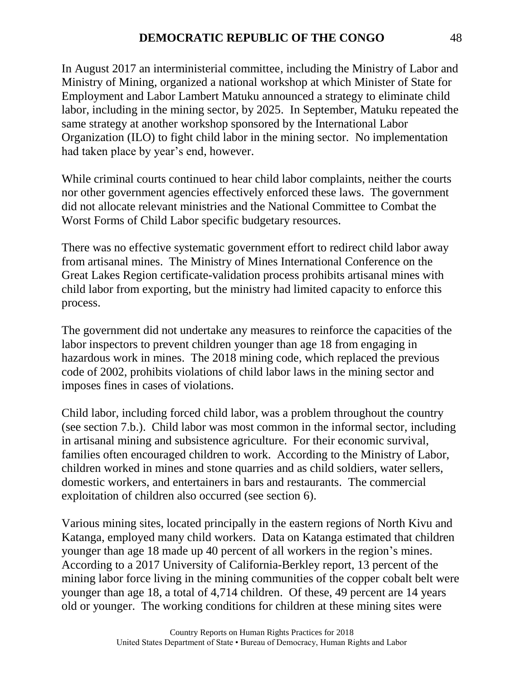In August 2017 an interministerial committee, including the Ministry of Labor and Ministry of Mining, organized a national workshop at which Minister of State for Employment and Labor Lambert Matuku announced a strategy to eliminate child labor, including in the mining sector, by 2025. In September, Matuku repeated the same strategy at another workshop sponsored by the International Labor Organization (ILO) to fight child labor in the mining sector. No implementation had taken place by year's end, however.

While criminal courts continued to hear child labor complaints, neither the courts nor other government agencies effectively enforced these laws. The government did not allocate relevant ministries and the National Committee to Combat the Worst Forms of Child Labor specific budgetary resources.

There was no effective systematic government effort to redirect child labor away from artisanal mines. The Ministry of Mines International Conference on the Great Lakes Region certificate-validation process prohibits artisanal mines with child labor from exporting, but the ministry had limited capacity to enforce this process.

The government did not undertake any measures to reinforce the capacities of the labor inspectors to prevent children younger than age 18 from engaging in hazardous work in mines. The 2018 mining code, which replaced the previous code of 2002, prohibits violations of child labor laws in the mining sector and imposes fines in cases of violations.

Child labor, including forced child labor, was a problem throughout the country (see section 7.b.). Child labor was most common in the informal sector, including in artisanal mining and subsistence agriculture. For their economic survival, families often encouraged children to work. According to the Ministry of Labor, children worked in mines and stone quarries and as child soldiers, water sellers, domestic workers, and entertainers in bars and restaurants. The commercial exploitation of children also occurred (see section 6).

Various mining sites, located principally in the eastern regions of North Kivu and Katanga, employed many child workers. Data on Katanga estimated that children younger than age 18 made up 40 percent of all workers in the region's mines. According to a 2017 University of California-Berkley report, 13 percent of the mining labor force living in the mining communities of the copper cobalt belt were younger than age 18, a total of 4,714 children. Of these, 49 percent are 14 years old or younger. The working conditions for children at these mining sites were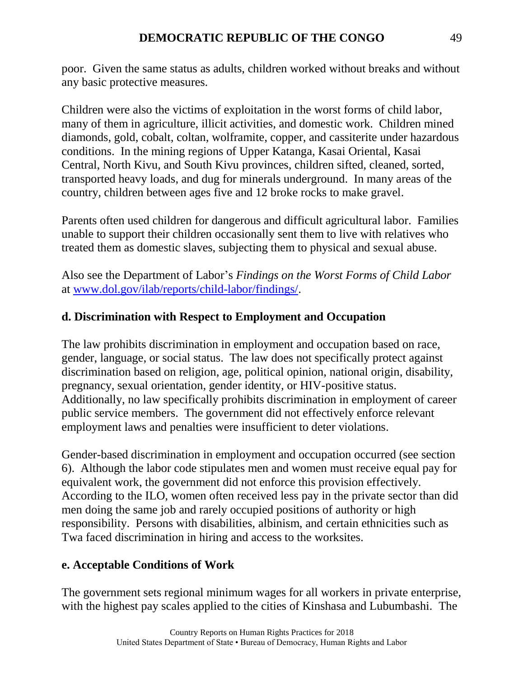poor. Given the same status as adults, children worked without breaks and without any basic protective measures.

Children were also the victims of exploitation in the worst forms of child labor, many of them in agriculture, illicit activities, and domestic work. Children mined diamonds, gold, cobalt, coltan, wolframite, copper, and cassiterite under hazardous conditions. In the mining regions of Upper Katanga, Kasai Oriental, Kasai Central, North Kivu, and South Kivu provinces, children sifted, cleaned, sorted, transported heavy loads, and dug for minerals underground. In many areas of the country, children between ages five and 12 broke rocks to make gravel.

Parents often used children for dangerous and difficult agricultural labor. Families unable to support their children occasionally sent them to live with relatives who treated them as domestic slaves, subjecting them to physical and sexual abuse.

Also see the Department of Labor's *Findings on the Worst Forms of Child Labor* at [www.dol.gov/ilab/reports/child-labor/findings/.](http://www.dol.gov/ilab/reports/child-labor/findings/)

# **d. Discrimination with Respect to Employment and Occupation**

The law prohibits discrimination in employment and occupation based on race, gender, language, or social status. The law does not specifically protect against discrimination based on religion, age, political opinion, national origin, disability, pregnancy, sexual orientation, gender identity, or HIV-positive status. Additionally, no law specifically prohibits discrimination in employment of career public service members. The government did not effectively enforce relevant employment laws and penalties were insufficient to deter violations.

Gender-based discrimination in employment and occupation occurred (see section 6). Although the labor code stipulates men and women must receive equal pay for equivalent work, the government did not enforce this provision effectively. According to the ILO, women often received less pay in the private sector than did men doing the same job and rarely occupied positions of authority or high responsibility. Persons with disabilities, albinism, and certain ethnicities such as Twa faced discrimination in hiring and access to the worksites.

# **e. Acceptable Conditions of Work**

The government sets regional minimum wages for all workers in private enterprise, with the highest pay scales applied to the cities of Kinshasa and Lubumbashi. The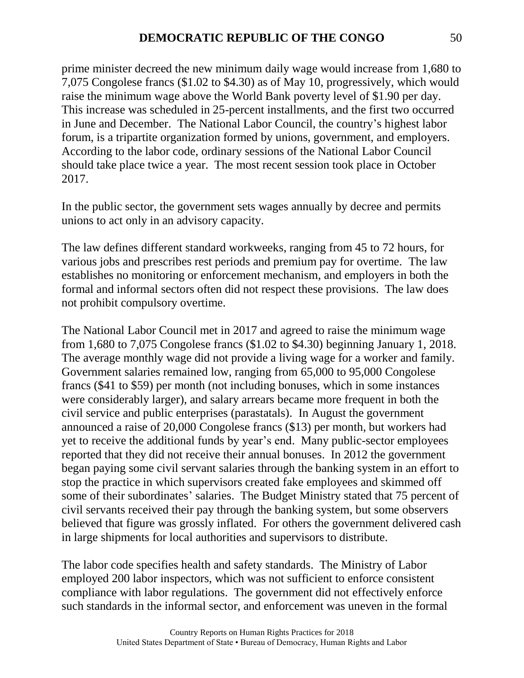prime minister decreed the new minimum daily wage would increase from 1,680 to 7,075 Congolese francs (\$1.02 to \$4.30) as of May 10, progressively, which would raise the minimum wage above the World Bank poverty level of \$1.90 per day. This increase was scheduled in 25-percent installments, and the first two occurred in June and December. The National Labor Council, the country's highest labor forum, is a tripartite organization formed by unions, government, and employers. According to the labor code, ordinary sessions of the National Labor Council should take place twice a year. The most recent session took place in October 2017.

In the public sector, the government sets wages annually by decree and permits unions to act only in an advisory capacity.

The law defines different standard workweeks, ranging from 45 to 72 hours, for various jobs and prescribes rest periods and premium pay for overtime. The law establishes no monitoring or enforcement mechanism, and employers in both the formal and informal sectors often did not respect these provisions. The law does not prohibit compulsory overtime.

The National Labor Council met in 2017 and agreed to raise the minimum wage from 1,680 to 7,075 Congolese francs (\$1.02 to \$4.30) beginning January 1, 2018. The average monthly wage did not provide a living wage for a worker and family. Government salaries remained low, ranging from 65,000 to 95,000 Congolese francs (\$41 to \$59) per month (not including bonuses, which in some instances were considerably larger), and salary arrears became more frequent in both the civil service and public enterprises (parastatals). In August the government announced a raise of 20,000 Congolese francs (\$13) per month, but workers had yet to receive the additional funds by year's end. Many public-sector employees reported that they did not receive their annual bonuses. In 2012 the government began paying some civil servant salaries through the banking system in an effort to stop the practice in which supervisors created fake employees and skimmed off some of their subordinates' salaries. The Budget Ministry stated that 75 percent of civil servants received their pay through the banking system, but some observers believed that figure was grossly inflated. For others the government delivered cash in large shipments for local authorities and supervisors to distribute.

The labor code specifies health and safety standards. The Ministry of Labor employed 200 labor inspectors, which was not sufficient to enforce consistent compliance with labor regulations. The government did not effectively enforce such standards in the informal sector, and enforcement was uneven in the formal